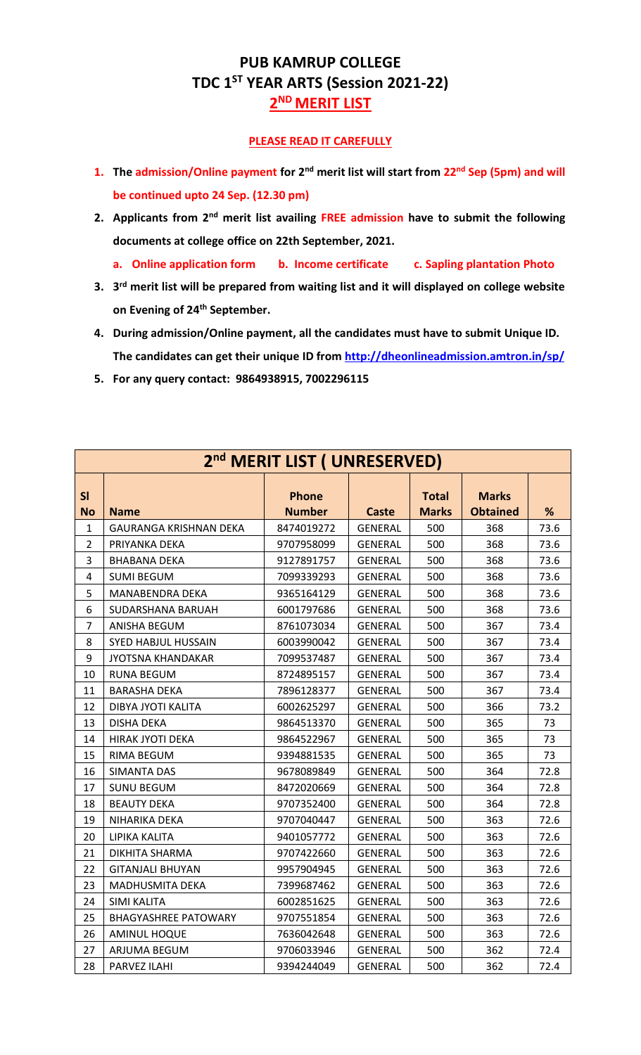## **PUB KAMRUP COLLEGE TDC 1ST YEAR ARTS (Session 2021-22) 2 ND MERIT LIST**

## **PLEASE READ IT CAREFULLY**

- **1. The admission/Online payment for 2nd merit list will start from 22nd Sep (5pm) and will be continued upto 24 Sep. (12.30 pm)**
- **2. Applicants from 2nd merit list availing FREE admission have to submit the following documents at college office on 22th September, 2021.**
	- **a. Online application form b. Income certificate c. Sapling plantation Photo**
- **3. 3 rd merit list will be prepared from waiting list and it will displayed on college website on Evening of 24th September.**
- **4. During admission/Online payment, all the candidates must have to submit Unique ID. The candidates can get their unique ID from<http://dheonlineadmission.amtron.in/sp/>**
- **5. For any query contact: 9864938915, 7002296115**

|                 | 2 <sup>nd</sup> MERIT LIST ( UNRESERVED) |                               |                |                              |                                 |      |  |  |  |
|-----------------|------------------------------------------|-------------------------------|----------------|------------------------------|---------------------------------|------|--|--|--|
| SI<br><b>No</b> | <b>Name</b>                              | <b>Phone</b><br><b>Number</b> | <b>Caste</b>   | <b>Total</b><br><b>Marks</b> | <b>Marks</b><br><b>Obtained</b> | %    |  |  |  |
| 1               | <b>GAURANGA KRISHNAN DEKA</b>            | 8474019272                    | <b>GENERAL</b> | 500                          | 368                             | 73.6 |  |  |  |
| $\overline{2}$  | PRIYANKA DEKA                            | 9707958099                    | <b>GENERAL</b> | 500                          | 368                             | 73.6 |  |  |  |
| 3               | <b>BHABANA DEKA</b>                      | 9127891757                    | GENERAL        | 500                          | 368                             | 73.6 |  |  |  |
| 4               | <b>SUMI BEGUM</b>                        | 7099339293                    | <b>GENERAL</b> | 500                          | 368                             | 73.6 |  |  |  |
| 5               | MANABENDRA DEKA                          | 9365164129                    | <b>GENERAL</b> | 500                          | 368                             | 73.6 |  |  |  |
| 6               | SUDARSHANA BARUAH                        | 6001797686                    | GENERAL        | 500                          | 368                             | 73.6 |  |  |  |
| $\overline{7}$  | ANISHA BEGUM                             | 8761073034                    | GENERAL        | 500                          | 367                             | 73.4 |  |  |  |
| 8               | SYED HABJUL HUSSAIN                      | 6003990042                    | <b>GENERAL</b> | 500                          | 367                             | 73.4 |  |  |  |
| 9               | <b>JYOTSNA KHANDAKAR</b>                 | 7099537487                    | GENERAL        | 500                          | 367                             | 73.4 |  |  |  |
| 10              | RUNA BEGUM                               | 8724895157                    | <b>GENERAL</b> | 500                          | 367                             | 73.4 |  |  |  |
| 11              | <b>BARASHA DEKA</b>                      | 7896128377                    | <b>GENERAL</b> | 500                          | 367                             | 73.4 |  |  |  |
| 12              | DIBYA JYOTI KALITA                       | 6002625297                    | <b>GENERAL</b> | 500                          | 366                             | 73.2 |  |  |  |
| 13              | <b>DISHA DEKA</b>                        | 9864513370                    | GENERAL        | 500                          | 365                             | 73   |  |  |  |
| 14              | HIRAK JYOTI DEKA                         | 9864522967                    | <b>GENERAL</b> | 500                          | 365                             | 73   |  |  |  |
| 15              | RIMA BEGUM                               | 9394881535                    | <b>GENERAL</b> | 500                          | 365                             | 73   |  |  |  |
| 16              | <b>SIMANTA DAS</b>                       | 9678089849                    | GENERAL        | 500                          | 364                             | 72.8 |  |  |  |
| 17              | <b>SUNU BEGUM</b>                        | 8472020669                    | <b>GENERAL</b> | 500                          | 364                             | 72.8 |  |  |  |
| 18              | <b>BEAUTY DEKA</b>                       | 9707352400                    | <b>GENERAL</b> | 500                          | 364                             | 72.8 |  |  |  |
| 19              | NIHARIKA DEKA                            | 9707040447                    | GENERAL        | 500                          | 363                             | 72.6 |  |  |  |
| 20              | LIPIKA KALITA                            | 9401057772                    | GENERAL        | 500                          | 363                             | 72.6 |  |  |  |
| 21              | DIKHITA SHARMA                           | 9707422660                    | <b>GENERAL</b> | 500                          | 363                             | 72.6 |  |  |  |
| 22              | <b>GITANJALI BHUYAN</b>                  | 9957904945                    | <b>GENERAL</b> | 500                          | 363                             | 72.6 |  |  |  |
| 23              | MADHUSMITA DEKA                          | 7399687462                    | <b>GENERAL</b> | 500                          | 363                             | 72.6 |  |  |  |
| 24              | SIMI KALITA                              | 6002851625                    | <b>GENERAL</b> | 500                          | 363                             | 72.6 |  |  |  |
| 25              | <b>BHAGYASHREE PATOWARY</b>              | 9707551854                    | <b>GENERAL</b> | 500                          | 363                             | 72.6 |  |  |  |
| 26              | <b>AMINUL HOQUE</b>                      | 7636042648                    | GENERAL        | 500                          | 363                             | 72.6 |  |  |  |
| 27              | ARJUMA BEGUM                             | 9706033946                    | <b>GENERAL</b> | 500                          | 362                             | 72.4 |  |  |  |
| 28              | PARVEZ ILAHI                             | 9394244049                    | <b>GENERAL</b> | 500                          | 362                             | 72.4 |  |  |  |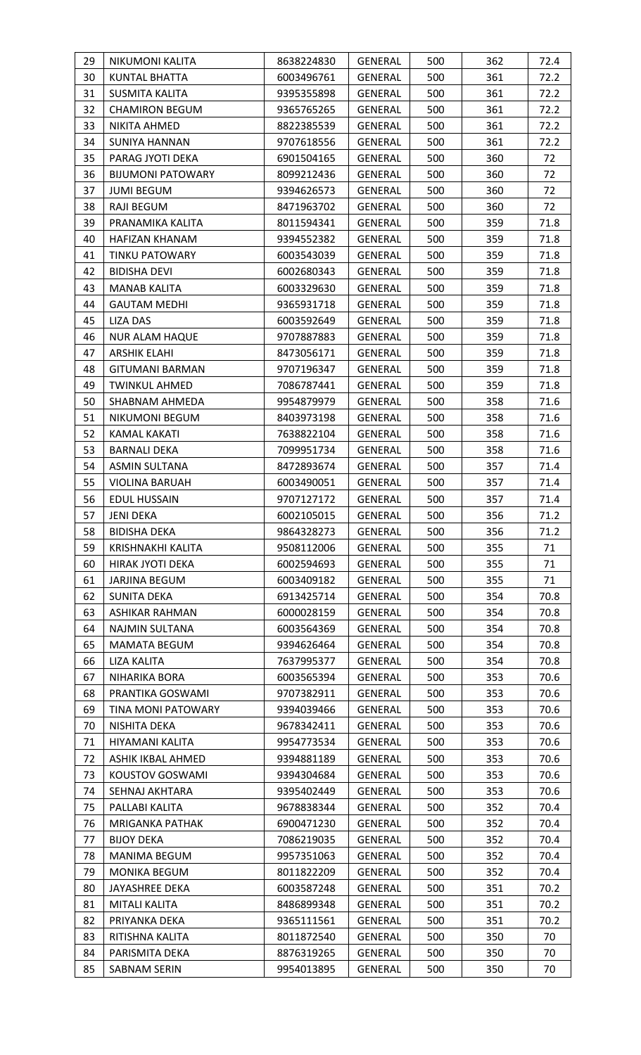| 29       | NIKUMONI KALITA                   | 8638224830               | GENERAL            | 500        | 362        | 72.4       |
|----------|-----------------------------------|--------------------------|--------------------|------------|------------|------------|
| 30       | <b>KUNTAL BHATTA</b>              | 6003496761               | GENERAL            | 500        | 361        | 72.2       |
| 31       | <b>SUSMITA KALITA</b>             | 9395355898               | <b>GENERAL</b>     | 500        | 361        | 72.2       |
| 32       | <b>CHAMIRON BEGUM</b>             | 9365765265               | <b>GENERAL</b>     | 500        | 361        | 72.2       |
| 33       | NIKITA AHMED                      | 8822385539               | GENERAL            | 500        | 361        | 72.2       |
| 34       | <b>SUNIYA HANNAN</b>              | 9707618556               | GENERAL            | 500        | 361        | 72.2       |
| 35       | PARAG JYOTI DEKA                  | 6901504165               | GENERAL            | 500        | 360        | 72         |
| 36       | <b>BIJUMONI PATOWARY</b>          | 8099212436               | GENERAL            | 500        | 360        | 72         |
| 37       | <b>JUMI BEGUM</b>                 | 9394626573               | GENERAL            | 500        | 360        | 72         |
| 38       | RAJI BEGUM                        | 8471963702               | <b>GENERAL</b>     | 500        | 360        | 72         |
| 39       | PRANAMIKA KALITA                  | 8011594341               | <b>GENERAL</b>     | 500        | 359        | 71.8       |
| 40       | HAFIZAN KHANAM                    | 9394552382               | GENERAL            | 500        | 359        | 71.8       |
| 41       | <b>TINKU PATOWARY</b>             | 6003543039               | GENERAL            | 500        | 359        | 71.8       |
| 42       | <b>BIDISHA DEVI</b>               | 6002680343               | GENERAL            | 500        | 359        | 71.8       |
| 43       | MANAB KALITA                      | 6003329630               | GENERAL            | 500        | 359        | 71.8       |
| 44       | <b>GAUTAM MEDHI</b>               | 9365931718               | GENERAL            | 500        | 359        | 71.8       |
| 45       | <b>LIZA DAS</b>                   | 6003592649               | GENERAL            | 500        | 359        | 71.8       |
| 46       | <b>NUR ALAM HAQUE</b>             | 9707887883               | <b>GENERAL</b>     | 500        | 359        | 71.8       |
| 47       | <b>ARSHIK ELAHI</b>               | 8473056171               | GENERAL            | 500        | 359        | 71.8       |
| 48       | <b>GITUMANI BARMAN</b>            | 9707196347               | <b>GENERAL</b>     | 500        | 359        | 71.8       |
| 49       | <b>TWINKUL AHMED</b>              | 7086787441               | GENERAL            | 500        | 359        | 71.8       |
| 50       | SHABNAM AHMEDA                    | 9954879979               | <b>GENERAL</b>     | 500        | 358        | 71.6       |
| 51       | NIKUMONI BEGUM                    | 8403973198               | <b>GENERAL</b>     | 500        | 358        | 71.6       |
| 52       | <b>KAMAL KAKATI</b>               | 7638822104               | <b>GENERAL</b>     | 500        | 358        | 71.6       |
| 53       | <b>BARNALI DEKA</b>               | 7099951734               | GENERAL            | 500        | 358        | 71.6       |
| 54       | <b>ASMIN SULTANA</b>              | 8472893674               | <b>GENERAL</b>     | 500        | 357        | 71.4       |
| 55       | VIOLINA BARUAH                    | 6003490051               | <b>GENERAL</b>     | 500        | 357        | 71.4       |
| 56       | <b>EDUL HUSSAIN</b>               | 9707127172               | GENERAL            | 500        | 357        | 71.4       |
| 57       | <b>JENI DEKA</b>                  | 6002105015               | <b>GENERAL</b>     | 500        | 356        | 71.2       |
| 58       | <b>BIDISHA DEKA</b>               | 9864328273               | GENERAL            | 500        | 356        | 71.2       |
| 59       | KRISHNAKHI KALITA                 | 9508112006               | <b>GENERAL</b>     | 500        | 355        | 71         |
| 60       | <b>HIRAK JYOTI DEKA</b>           | 6002594693               | GENERAL            | 500        | 355        | 71         |
| 61       | <b>JARJINA BEGUM</b>              | 6003409182               | GENERAL            | 500        | 355        | 71         |
| 62       | SUNITA DEKA                       | 6913425714               | <b>GENERAL</b>     | 500        | 354        | 70.8       |
| 63       | ASHIKAR RAHMAN                    | 6000028159               | GENERAL            | 500        | 354        | 70.8       |
| 64       | NAJMIN SULTANA                    | 6003564369               | <b>GENERAL</b>     | 500        | 354        | 70.8       |
| 65       | MAMATA BEGUM                      | 9394626464               | GENERAL            | 500        | 354        | 70.8       |
| 66       | LIZA KALITA                       | 7637995377               | GENERAL            | 500        | 354        | 70.8       |
| 67       | NIHARIKA BORA                     | 6003565394               | <b>GENERAL</b>     | 500        | 353        | 70.6       |
| 68       | PRANTIKA GOSWAMI                  | 9707382911               | GENERAL            | 500        | 353        | 70.6       |
| 69       | TINA MONI PATOWARY                | 9394039466               | GENERAL            | 500        | 353        | 70.6       |
| 70       | NISHITA DEKA                      | 9678342411               | GENERAL            | 500        | 353        | 70.6       |
| 71       | HIYAMANI KALITA                   | 9954773534               | <b>GENERAL</b>     | 500        | 353        | 70.6       |
| 72       | ASHIK IKBAL AHMED                 | 9394881189               | GENERAL            | 500        | 353        | 70.6       |
| 73       | KOUSTOV GOSWAMI                   | 9394304684               | GENERAL            | 500        | 353        | 70.6       |
| 74       | SEHNAJ AKHTARA                    | 9395402449               | <b>GENERAL</b>     | 500        | 353        | 70.6       |
| 75       | PALLABI KALITA                    | 9678838344               | GENERAL            | 500        | 352        | 70.4       |
| 76       | <b>MRIGANKA PATHAK</b>            | 6900471230               | <b>GENERAL</b>     | 500        | 352        | 70.4       |
| 77       | <b>BIJOY DEKA</b>                 | 7086219035               | GENERAL            | 500        | 352        | 70.4       |
| 78       | <b>MANIMA BEGUM</b>               | 9957351063               | GENERAL            | 500        | 352        | 70.4       |
| 79       | <b>MONIKA BEGUM</b>               | 8011822209               | GENERAL            | 500        | 352        | 70.4       |
| 80       | JAYASHREE DEKA                    | 6003587248               | <b>GENERAL</b>     | 500        | 351        | 70.2       |
| 81       | <b>MITALI KALITA</b>              | 8486899348               | <b>GENERAL</b>     | 500        | 351        | 70.2       |
| 82<br>83 | PRIYANKA DEKA                     | 9365111561<br>8011872540 | GENERAL            | 500<br>500 | 351<br>350 | 70.2<br>70 |
| 84       | RITISHNA KALITA<br>PARISMITA DEKA | 8876319265               | GENERAL<br>GENERAL | 500        | 350        | 70         |
| 85       | <b>SABNAM SERIN</b>               | 9954013895               | <b>GENERAL</b>     | 500        | 350        | 70         |
|          |                                   |                          |                    |            |            |            |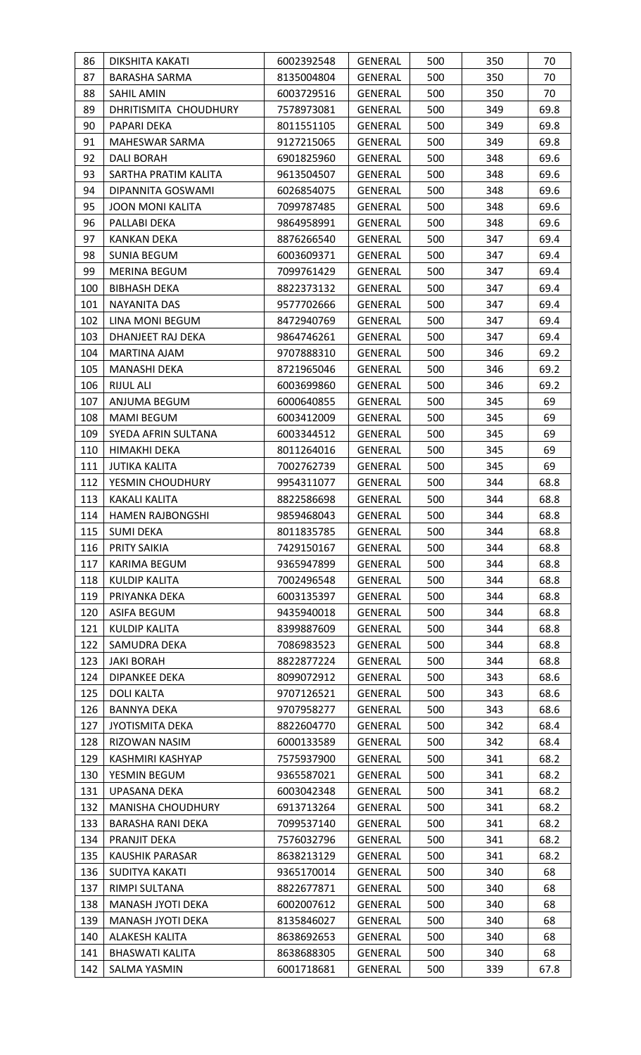| 86         | DIKSHITA KAKATI                                      | 6002392548               | GENERAL            | 500        | 350        | 70           |
|------------|------------------------------------------------------|--------------------------|--------------------|------------|------------|--------------|
| 87         | <b>BARASHA SARMA</b>                                 | 8135004804               | GENERAL            | 500        | 350        | 70           |
| 88         | SAHIL AMIN                                           | 6003729516               | <b>GENERAL</b>     | 500        | 350        | 70           |
| 89         | DHRITISMITA CHOUDHURY                                | 7578973081               | <b>GENERAL</b>     | 500        | 349        | 69.8         |
| 90         | PAPARI DEKA                                          | 8011551105               | <b>GENERAL</b>     | 500        | 349        | 69.8         |
| 91         | MAHESWAR SARMA                                       | 9127215065               | GENERAL            | 500        | 349        | 69.8         |
| 92         | <b>DALI BORAH</b>                                    | 6901825960               | GENERAL            | 500        | 348        | 69.6         |
| 93         | SARTHA PRATIM KALITA                                 | 9613504507               | GENERAL            | 500        | 348        | 69.6         |
| 94         | DIPANNITA GOSWAMI                                    | 6026854075               | GENERAL            | 500        | 348        | 69.6         |
| 95         | <b>JOON MONI KALITA</b>                              | 7099787485               | GENERAL            | 500        | 348        | 69.6         |
| 96         | PALLABI DEKA                                         | 9864958991               | GENERAL            | 500        | 348        | 69.6         |
| 97         | <b>KANKAN DEKA</b>                                   | 8876266540               | GENERAL            | 500        | 347        | 69.4         |
| 98         | <b>SUNIA BEGUM</b>                                   | 6003609371               | GENERAL            | 500        | 347        | 69.4         |
| 99         | <b>MERINA BEGUM</b>                                  | 7099761429               | <b>GENERAL</b>     | 500        | 347        | 69.4         |
| 100        | <b>BIBHASH DEKA</b>                                  | 8822373132               | GENERAL            | 500        | 347        | 69.4         |
| 101        | NAYANITA DAS                                         | 9577702666               | GENERAL            | 500        | 347        | 69.4         |
| 102        | LINA MONI BEGUM                                      | 8472940769               | <b>GENERAL</b>     | 500        | 347        | 69.4         |
| 103        | DHANJEET RAJ DEKA                                    | 9864746261               | GENERAL            | 500        | 347        | 69.4         |
| 104        | MARTINA AJAM                                         | 9707888310               | GENERAL            | 500        | 346        | 69.2         |
| 105        | MANASHI DEKA                                         | 8721965046               | GENERAL            | 500        | 346        | 69.2         |
| 106        | RIJUL ALI                                            | 6003699860               | GENERAL            | 500        | 346        | 69.2         |
| 107        | ANJUMA BEGUM                                         | 6000640855               | GENERAL            | 500        | 345        | 69           |
| 108        | <b>MAMI BEGUM</b>                                    | 6003412009               | GENERAL            | 500        | 345        | 69           |
| 109        | SYEDA AFRIN SULTANA                                  | 6003344512               | <b>GENERAL</b>     | 500        | 345        | 69           |
| 110        | HIMAKHI DEKA                                         | 8011264016               | GENERAL            | 500        | 345        | 69           |
| 111        | <b>JUTIKA KALITA</b>                                 | 7002762739               | GENERAL            | 500        | 345        | 69           |
| 112        | YESMIN CHOUDHURY                                     | 9954311077               | GENERAL            | 500        | 344        | 68.8         |
| 113        | KAKALI KALITA                                        | 8822586698               | GENERAL            | 500        | 344        | 68.8         |
| 114        | <b>HAMEN RAJBONGSHI</b>                              | 9859468043               | <b>GENERAL</b>     | 500        | 344        | 68.8         |
| 115        | <b>SUMI DEKA</b>                                     | 8011835785               | GENERAL            | 500        | 344        | 68.8         |
| 116        | PRITY SAIKIA                                         | 7429150167               | GENERAL            | 500        | 344        | 68.8         |
| 117        | KARIMA BEGUM                                         | 9365947899               | GENERAL            | 500        | 344        | 68.8         |
| 118        | <b>KULDIP KALITA</b>                                 | 7002496548               | GENERAL            | 500        | 344        | 68.8         |
| 119        | PRIYANKA DEKA                                        | 6003135397               | GENERAL            | 500        | 344        | 68.8         |
| 120        | ASIFA BEGUM                                          | 9435940018               | GENERAL            | 500        | 344        | 68.8         |
| 121        | <b>KULDIP KALITA</b>                                 | 8399887609               | GENERAL            | 500        | 344        | 68.8         |
| 122        | SAMUDRA DEKA                                         | 7086983523               | GENERAL            | 500        | 344        | 68.8         |
| 123        | <b>JAKI BORAH</b>                                    | 8822877224               | GENERAL            | 500        | 344        | 68.8         |
| 124        | <b>DIPANKEE DEKA</b>                                 | 8099072912               | GENERAL            | 500        | 343        | 68.6         |
| 125        | DOLI KALTA                                           | 9707126521               | GENERAL            | 500        | 343        | 68.6         |
| 126        | <b>BANNYA DEKA</b>                                   | 9707958277               | <b>GENERAL</b>     | 500        | 343        | 68.6         |
| 127<br>128 | <b>JYOTISMITA DEKA</b><br>RIZOWAN NASIM              | 8822604770<br>6000133589 | GENERAL<br>GENERAL | 500<br>500 | 342<br>342 | 68.4<br>68.4 |
|            |                                                      |                          |                    |            |            |              |
| 129<br>130 | KASHMIRI KASHYAP                                     | 7575937900               | GENERAL            | 500<br>500 | 341<br>341 | 68.2<br>68.2 |
|            | YESMIN BEGUM                                         | 9365587021               | GENERAL            |            |            |              |
| 131        | UPASANA DEKA                                         | 6003042348               | <b>GENERAL</b>     | 500        | 341        | 68.2         |
| 132<br>133 | <b>MANISHA CHOUDHURY</b><br><b>BARASHA RANI DEKA</b> | 6913713264<br>7099537140 | GENERAL<br>GENERAL | 500<br>500 | 341<br>341 | 68.2<br>68.2 |
| 134        | PRANJIT DEKA                                         | 7576032796               | GENERAL            | 500        | 341        | 68.2         |
| 135        | <b>KAUSHIK PARASAR</b>                               | 8638213129               | GENERAL            | 500        | 341        | 68.2         |
| 136        | SUDITYA KAKATI                                       | 9365170014               | <b>GENERAL</b>     | 500        | 340        | 68           |
| 137        | RIMPI SULTANA                                        | 8822677871               | GENERAL            | 500        | 340        | 68           |
| 138        | MANASH JYOTI DEKA                                    | 6002007612               | <b>GENERAL</b>     | 500        | 340        | 68           |
| 139        | MANASH JYOTI DEKA                                    | 8135846027               | GENERAL            | 500        | 340        | 68           |
| 140        | ALAKESH KALITA                                       | 8638692653               | <b>GENERAL</b>     | 500        | 340        | 68           |
| 141        | <b>BHASWATI KALITA</b>                               | 8638688305               | GENERAL            | 500        | 340        | 68           |
| 142        | <b>SALMA YASMIN</b>                                  | 6001718681               | GENERAL            | 500        | 339        | 67.8         |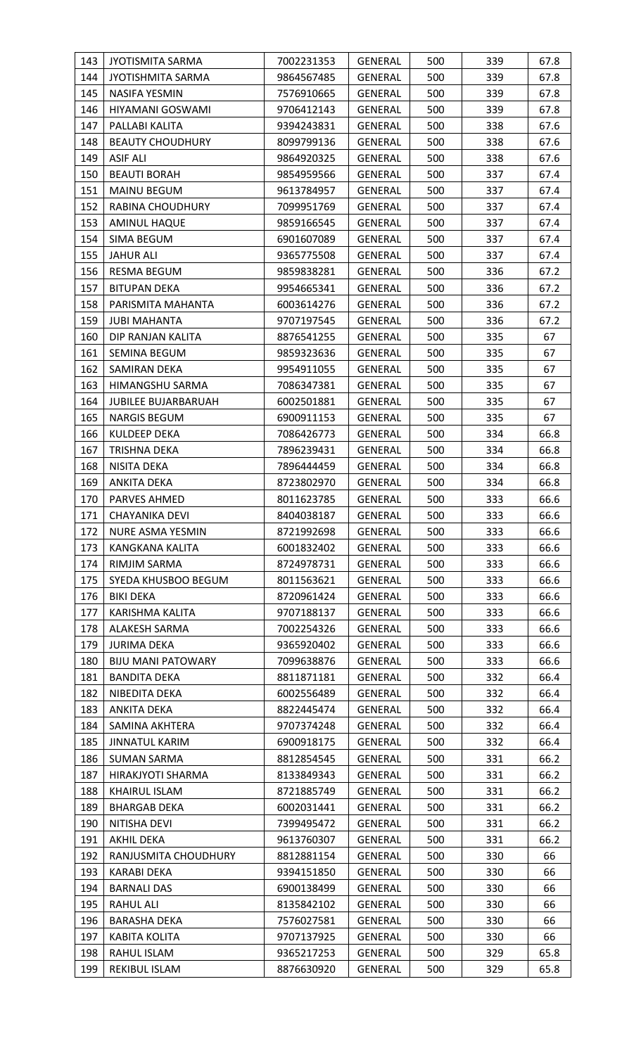| 143        | <b>JYOTISMITA SARMA</b>             | 7002231353               | GENERAL            | 500        | 339        | 67.8         |
|------------|-------------------------------------|--------------------------|--------------------|------------|------------|--------------|
| 144        | <b>JYOTISHMITA SARMA</b>            | 9864567485               | GENERAL            | 500        | 339        | 67.8         |
| 145        | <b>NASIFA YESMIN</b>                | 7576910665               | GENERAL            | 500        | 339        | 67.8         |
| 146        | HIYAMANI GOSWAMI                    | 9706412143               | GENERAL            | 500        | 339        | 67.8         |
| 147        | PALLABI KALITA                      | 9394243831               | <b>GENERAL</b>     | 500        | 338        | 67.6         |
| 148        | <b>BEAUTY CHOUDHURY</b>             | 8099799136               | GENERAL            | 500        | 338        | 67.6         |
| 149        | <b>ASIF ALI</b>                     | 9864920325               | <b>GENERAL</b>     | 500        | 338        | 67.6         |
| 150        | <b>BEAUTI BORAH</b>                 | 9854959566               | GENERAL            | 500        | 337        | 67.4         |
| 151        | <b>MAINU BEGUM</b>                  | 9613784957               | GENERAL            | 500        | 337        | 67.4         |
| 152        | RABINA CHOUDHURY                    | 7099951769               | <b>GENERAL</b>     | 500        | 337        | 67.4         |
| 153        | <b>AMINUL HAQUE</b>                 | 9859166545               | GENERAL            | 500        | 337        | 67.4         |
| 154        | <b>SIMA BEGUM</b>                   | 6901607089               | GENERAL            | 500        | 337        | 67.4         |
| 155        | <b>JAHUR ALI</b>                    | 9365775508               | <b>GENERAL</b>     | 500        | 337        | 67.4         |
| 156        | <b>RESMA BEGUM</b>                  | 9859838281               | GENERAL            | 500        | 336        | 67.2         |
| 157        | <b>BITUPAN DEKA</b>                 | 9954665341               | GENERAL            | 500        | 336        | 67.2         |
| 158        | PARISMITA MAHANTA                   | 6003614276               | <b>GENERAL</b>     | 500        | 336        | 67.2         |
| 159        | <b>JUBI MAHANTA</b>                 | 9707197545               | GENERAL            | 500        | 336        | 67.2         |
| 160        | DIP RANJAN KALITA                   | 8876541255               | GENERAL            | 500        | 335        | 67           |
| 161        | <b>SEMINA BEGUM</b>                 | 9859323636               | GENERAL            | 500        | 335        | 67           |
| 162        | SAMIRAN DEKA                        | 9954911055               | GENERAL            | 500        | 335        | 67           |
| 163        | HIMANGSHU SARMA                     | 7086347381               | GENERAL            | 500        | 335        | 67           |
| 164        | <b>JUBILEE BUJARBARUAH</b>          | 6002501881               | <b>GENERAL</b>     | 500        | 335        | 67           |
| 165        | <b>NARGIS BEGUM</b>                 | 6900911153               | GENERAL            | 500        | 335        | 67           |
| 166        | <b>KULDEEP DEKA</b>                 | 7086426773               | GENERAL            | 500        | 334        | 66.8         |
| 167        | TRISHNA DEKA                        | 7896239431               | GENERAL            | 500        | 334        | 66.8         |
| 168        | NISITA DEKA                         | 7896444459               | GENERAL            | 500        | 334        | 66.8         |
| 169        | <b>ANKITA DEKA</b>                  | 8723802970               | GENERAL            | 500        | 334        | 66.8         |
| 170        | PARVES AHMED                        | 8011623785               | <b>GENERAL</b>     | 500        | 333        | 66.6         |
| 171        | <b>CHAYANIKA DEVI</b>               | 8404038187               | <b>GENERAL</b>     | 500        | 333        | 66.6         |
| 172        | NURE ASMA YESMIN                    | 8721992698               | GENERAL            | 500        | 333        | 66.6         |
| 173        | KANGKANA KALITA                     | 6001832402               | GENERAL            | 500        | 333        | 66.6         |
| 174        | RIMJIM SARMA                        | 8724978731               | GENERAL            | 500        | 333        | 66.6         |
| 175        | SYEDA KHUSBOO BEGUM                 | 8011563621               | GENERAL            | 500        | 333        | 66.6         |
| 176        | <b>BIKI DEKA</b>                    | 8720961424               | GENERAL            | 500        | 333        | 66.6         |
| 177        | KARISHMA KALITA                     | 9707188137               | GENERAL            | 500        | 333        | 66.6         |
| 178        | ALAKESH SARMA                       | 7002254326               | GENERAL            | 500        | 333        | 66.6         |
| 179        | <b>JURIMA DEKA</b>                  | 9365920402               | <b>GENERAL</b>     | 500        | 333        | 66.6         |
| 180        | <b>BIJU MANI PATOWARY</b>           | 7099638876               | GENERAL            | 500        | 333        | 66.6         |
| 181        | <b>BANDITA DEKA</b>                 | 8811871181               | GENERAL            | 500        | 332        | 66.4         |
| 182<br>183 | NIBEDITA DEKA<br><b>ANKITA DEKA</b> | 6002556489<br>8822445474 | GENERAL            | 500<br>500 | 332<br>332 | 66.4<br>66.4 |
| 184        | SAMINA AKHTERA                      | 9707374248               | GENERAL<br>GENERAL | 500        | 332        | 66.4         |
| 185        | <b>JINNATUL KARIM</b>               | 6900918175               | GENERAL            | 500        | 332        | 66.4         |
| 186        | <b>SUMAN SARMA</b>                  | 8812854545               | GENERAL            | 500        | 331        | 66.2         |
| 187        | HIRAKJYOTI SHARMA                   | 8133849343               | GENERAL            | 500        | 331        | 66.2         |
| 188        | <b>KHAIRUL ISLAM</b>                | 8721885749               | <b>GENERAL</b>     | 500        | 331        | 66.2         |
| 189        | <b>BHARGAB DEKA</b>                 | 6002031441               | GENERAL            | 500        | 331        | 66.2         |
| 190        | NITISHA DEVI                        | 7399495472               | GENERAL            | 500        | 331        | 66.2         |
| 191        | AKHIL DEKA                          | 9613760307               | GENERAL            | 500        | 331        | 66.2         |
| 192        | RANJUSMITA CHOUDHURY                | 8812881154               | GENERAL            | 500        | 330        | 66           |
| 193        | KARABI DEKA                         | 9394151850               | GENERAL            | 500        | 330        | 66           |
| 194        | <b>BARNALI DAS</b>                  | 6900138499               | GENERAL            | 500        | 330        | 66           |
| 195        | <b>RAHUL ALI</b>                    | 8135842102               | GENERAL            | 500        | 330        | 66           |
| 196        | BARASHA DEKA                        | 7576027581               | GENERAL            | 500        | 330        | 66           |
| 197        | <b>KABITA KOLITA</b>                | 9707137925               | GENERAL            | 500        | 330        | 66           |
| 198        | RAHUL ISLAM                         | 9365217253               | GENERAL            | 500        | 329        | 65.8         |
| 199        | REKIBUL ISLAM                       | 8876630920               | <b>GENERAL</b>     | 500        | 329        | 65.8         |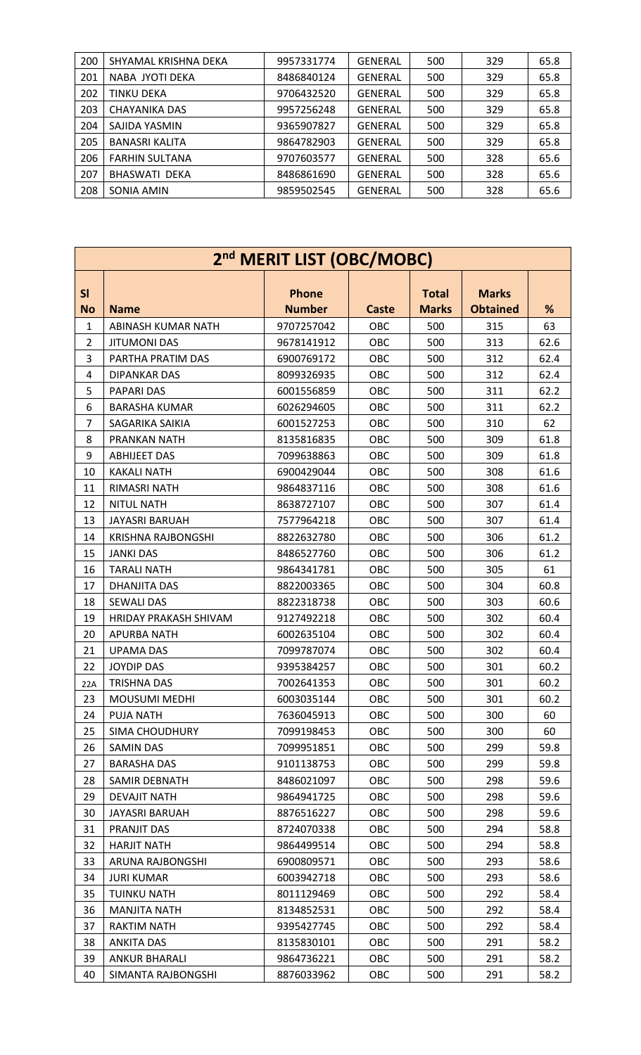| 200 | SHYAMAL KRISHNA DEKA  | 9957331774 | GENERAL | 500 | 329 | 65.8 |
|-----|-----------------------|------------|---------|-----|-----|------|
| 201 | NABA JYOTI DEKA       | 8486840124 | GENERAL | 500 | 329 | 65.8 |
| 202 | TINKU DEKA            | 9706432520 | GENERAL | 500 | 329 | 65.8 |
| 203 | CHAYANIKA DAS         | 9957256248 | GENERAL | 500 | 329 | 65.8 |
| 204 | SAJIDA YASMIN         | 9365907827 | GENERAL | 500 | 329 | 65.8 |
| 205 | <b>BANASRI KALITA</b> | 9864782903 | GENERAL | 500 | 329 | 65.8 |
| 206 | <b>FARHIN SULTANA</b> | 9707603577 | GENERAL | 500 | 328 | 65.6 |
| 207 | <b>BHASWATI DEKA</b>  | 8486861690 | GENERAL | 500 | 328 | 65.6 |
| 208 | SONIA AMIN            | 9859502545 | GENERAL | 500 | 328 | 65.6 |

|                 | 2 <sup>nd</sup> MERIT LIST (OBC/MOBC) |                               |              |                              |                                 |      |  |  |  |  |
|-----------------|---------------------------------------|-------------------------------|--------------|------------------------------|---------------------------------|------|--|--|--|--|
| SI<br><b>No</b> | <b>Name</b>                           | <b>Phone</b><br><b>Number</b> | <b>Caste</b> | <b>Total</b><br><b>Marks</b> | <b>Marks</b><br><b>Obtained</b> | %    |  |  |  |  |
| $\mathbf{1}$    | ABINASH KUMAR NATH                    | 9707257042                    | OBC          | 500                          | 315                             | 63   |  |  |  |  |
| $\overline{2}$  | <b>JITUMONI DAS</b>                   | 9678141912                    | OBC          | 500                          | 313                             | 62.6 |  |  |  |  |
| 3               | PARTHA PRATIM DAS                     | 6900769172                    | OBC          | 500                          | 312                             | 62.4 |  |  |  |  |
| 4               | <b>DIPANKAR DAS</b>                   | 8099326935                    | OBC          | 500                          | 312                             | 62.4 |  |  |  |  |
| 5               | PAPARI DAS                            | 6001556859                    | OBC          | 500                          | 311                             | 62.2 |  |  |  |  |
| 6               | <b>BARASHA KUMAR</b>                  | 6026294605                    | OBC          | 500                          | 311                             | 62.2 |  |  |  |  |
| 7               | SAGARIKA SAIKIA                       | 6001527253                    | OBC          | 500                          | 310                             | 62   |  |  |  |  |
| 8               | PRANKAN NATH                          | 8135816835                    | OBC          | 500                          | 309                             | 61.8 |  |  |  |  |
| 9               | <b>ABHIJEET DAS</b>                   | 7099638863                    | OBC          | 500                          | 309                             | 61.8 |  |  |  |  |
| 10              | <b>KAKALI NATH</b>                    | 6900429044                    | OBC          | 500                          | 308                             | 61.6 |  |  |  |  |
| 11              | RIMASRI NATH                          | 9864837116                    | OBC          | 500                          | 308                             | 61.6 |  |  |  |  |
| 12              | <b>NITUL NATH</b>                     | 8638727107                    | OBC          | 500                          | 307                             | 61.4 |  |  |  |  |
| 13              | <b>JAYASRI BARUAH</b>                 | 7577964218                    | OBC          | 500                          | 307                             | 61.4 |  |  |  |  |
| 14              | <b>KRISHNA RAJBONGSHI</b>             | 8822632780                    | OBC          | 500                          | 306                             | 61.2 |  |  |  |  |
| 15              | <b>JANKI DAS</b>                      | 8486527760                    | OBC          | 500                          | 306                             | 61.2 |  |  |  |  |
| 16              | <b>TARALI NATH</b>                    | 9864341781                    | OBC          | 500                          | 305                             | 61   |  |  |  |  |
| 17              | DHANJITA DAS                          | 8822003365                    | OBC          | 500                          | 304                             | 60.8 |  |  |  |  |
| 18              | <b>SEWALI DAS</b>                     | 8822318738                    | OBC          | 500                          | 303                             | 60.6 |  |  |  |  |
| 19              | HRIDAY PRAKASH SHIVAM                 | 9127492218                    | OBC          | 500                          | 302                             | 60.4 |  |  |  |  |
| 20              | <b>APURBA NATH</b>                    | 6002635104                    | OBC          | 500                          | 302                             | 60.4 |  |  |  |  |
| 21              | <b>UPAMA DAS</b>                      | 7099787074                    | OBC          | 500                          | 302                             | 60.4 |  |  |  |  |
| 22              | <b>JOYDIP DAS</b>                     | 9395384257                    | OBC          | 500                          | 301                             | 60.2 |  |  |  |  |
| 22A             | <b>TRISHNA DAS</b>                    | 7002641353                    | OBC          | 500                          | 301                             | 60.2 |  |  |  |  |
| 23              | <b>MOUSUMI MEDHI</b>                  | 6003035144                    | OBC          | 500                          | 301                             | 60.2 |  |  |  |  |
| 24              | PUJA NATH                             | 7636045913                    | OBC          | 500                          | 300                             | 60   |  |  |  |  |
| 25              | SIMA CHOUDHURY                        | 7099198453                    | <b>OBC</b>   | 500                          | 300                             | 60   |  |  |  |  |
| 26              | <b>SAMIN DAS</b>                      | 7099951851                    | OBC          | 500                          | 299                             | 59.8 |  |  |  |  |
| 27              | <b>BARASHA DAS</b>                    | 9101138753                    | <b>OBC</b>   | 500                          | 299                             | 59.8 |  |  |  |  |
| 28              | SAMIR DEBNATH                         | 8486021097                    | OBC          | 500                          | 298                             | 59.6 |  |  |  |  |
| 29              | <b>DEVAJIT NATH</b>                   | 9864941725                    | OBC          | 500                          | 298                             | 59.6 |  |  |  |  |
| 30              | <b>JAYASRI BARUAH</b>                 | 8876516227                    | OBC          | 500                          | 298                             | 59.6 |  |  |  |  |
| 31              | PRANJIT DAS                           | 8724070338                    | OBC          | 500                          | 294                             | 58.8 |  |  |  |  |
| 32              | <b>HARJIT NATH</b>                    | 9864499514                    | <b>OBC</b>   | 500                          | 294                             | 58.8 |  |  |  |  |
| 33              | ARUNA RAJBONGSHI                      | 6900809571                    | OBC          | 500                          | 293                             | 58.6 |  |  |  |  |
| 34              | <b>JURI KUMAR</b>                     | 6003942718                    | OBC          | 500                          | 293                             | 58.6 |  |  |  |  |
| 35              | <b>TUINKU NATH</b>                    | 8011129469                    | OBC          | 500                          | 292                             | 58.4 |  |  |  |  |
| 36              | <b>MANJITA NATH</b>                   | 8134852531                    | OBC          | 500                          | 292                             | 58.4 |  |  |  |  |
| 37              | <b>RAKTIM NATH</b>                    | 9395427745                    | OBC          | 500                          | 292                             | 58.4 |  |  |  |  |
| 38              | <b>ANKITA DAS</b>                     | 8135830101                    | OBC          | 500                          | 291                             | 58.2 |  |  |  |  |
| 39              | <b>ANKUR BHARALI</b>                  | 9864736221                    | OBC          | 500                          | 291                             | 58.2 |  |  |  |  |
| 40              | SIMANTA RAJBONGSHI                    | 8876033962                    | OBC          | 500                          | 291                             | 58.2 |  |  |  |  |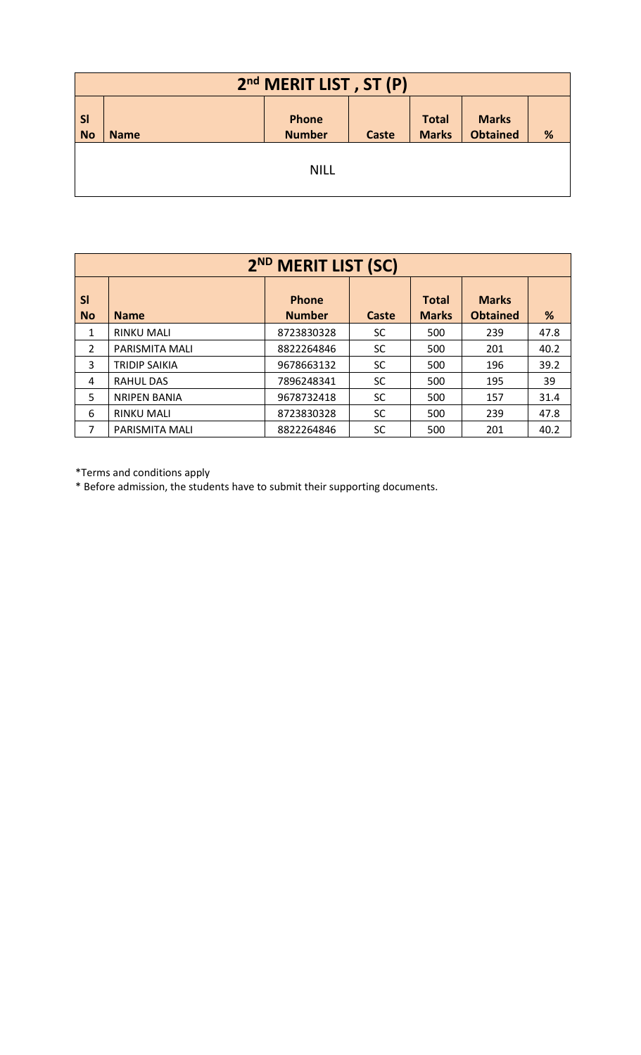|                        | 2 <sup>nd</sup> MERIT LIST, ST (P) |                        |              |                              |                                 |   |  |  |  |
|------------------------|------------------------------------|------------------------|--------------|------------------------------|---------------------------------|---|--|--|--|
| <b>SI</b><br><b>No</b> | <b>Name</b>                        | Phone<br><b>Number</b> | <b>Caste</b> | <b>Total</b><br><b>Marks</b> | <b>Marks</b><br><b>Obtained</b> | % |  |  |  |
|                        | <b>NILL</b>                        |                        |              |                              |                                 |   |  |  |  |

|                        | 2 <sup>ND</sup> MERIT LIST (SC) |                               |           |                              |                                 |      |  |  |  |
|------------------------|---------------------------------|-------------------------------|-----------|------------------------------|---------------------------------|------|--|--|--|
| <b>SI</b><br><b>No</b> | <b>Name</b>                     | <b>Phone</b><br><b>Number</b> | Caste     | <b>Total</b><br><b>Marks</b> | <b>Marks</b><br><b>Obtained</b> | %    |  |  |  |
| 1                      | <b>RINKU MALI</b>               | 8723830328                    | <b>SC</b> | 500                          | 239                             | 47.8 |  |  |  |
| $\overline{2}$         | <b>PARISMITA MALI</b>           | 8822264846                    | <b>SC</b> | 500                          | 201                             | 40.2 |  |  |  |
| 3                      | <b>TRIDIP SAIKIA</b>            | 9678663132                    | <b>SC</b> | 500                          | 196                             | 39.2 |  |  |  |
| 4                      | <b>RAHUL DAS</b>                | 7896248341                    | <b>SC</b> | 500                          | 195                             | 39   |  |  |  |
| 5                      | <b>NRIPEN BANIA</b>             | 9678732418                    | <b>SC</b> | 500                          | 157                             | 31.4 |  |  |  |
| 6                      | <b>RINKU MALI</b>               | 8723830328                    | <b>SC</b> | 500                          | 239                             | 47.8 |  |  |  |
| 7                      | PARISMITA MALI                  | 8822264846                    | <b>SC</b> | 500                          | 201                             | 40.2 |  |  |  |

\*Terms and conditions apply

\* Before admission, the students have to submit their supporting documents.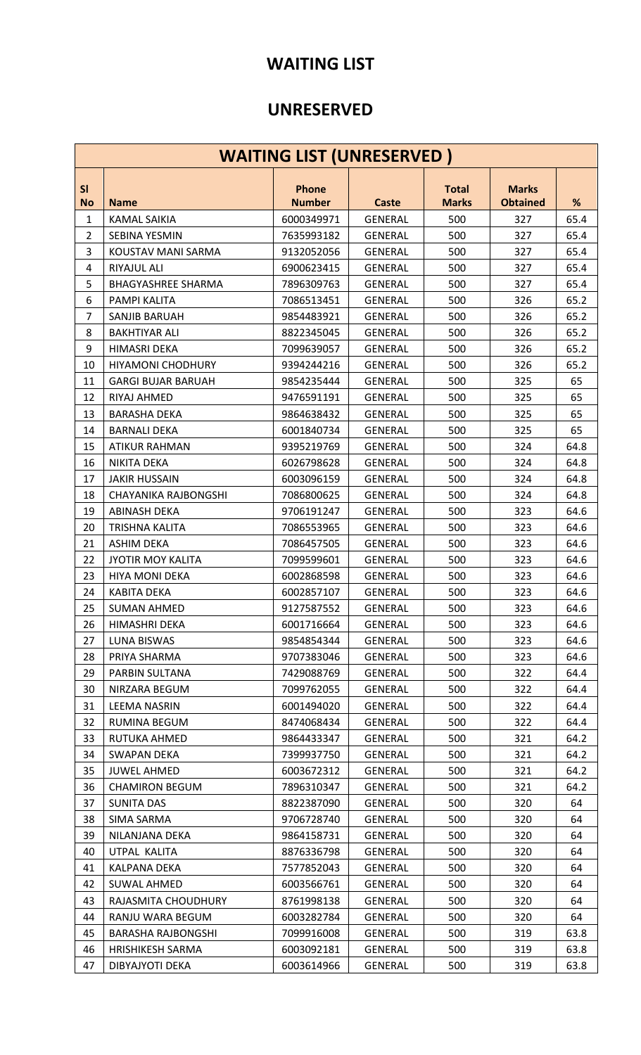## **WAITING LIST**

## **UNRESERVED**

|                | <b>WAITING LIST (UNRESERVED)</b> |                               |                |                              |                                 |      |  |  |  |  |
|----------------|----------------------------------|-------------------------------|----------------|------------------------------|---------------------------------|------|--|--|--|--|
| SI             |                                  |                               |                |                              |                                 |      |  |  |  |  |
| <b>No</b>      | <b>Name</b>                      | <b>Phone</b><br><b>Number</b> | <b>Caste</b>   | <b>Total</b><br><b>Marks</b> | <b>Marks</b><br><b>Obtained</b> | %    |  |  |  |  |
| $\mathbf{1}$   | <b>KAMAL SAIKIA</b>              | 6000349971                    | <b>GENERAL</b> | 500                          | 327                             | 65.4 |  |  |  |  |
| $\overline{2}$ | SEBINA YESMIN                    | 7635993182                    | <b>GENERAL</b> | 500                          | 327                             | 65.4 |  |  |  |  |
| 3              | KOUSTAV MANI SARMA               | 9132052056                    | <b>GENERAL</b> | 500                          | 327                             | 65.4 |  |  |  |  |
| 4              | RIYAJUL ALI                      | 6900623415                    | <b>GENERAL</b> | 500                          | 327                             | 65.4 |  |  |  |  |
| 5              | <b>BHAGYASHREE SHARMA</b>        | 7896309763                    | <b>GENERAL</b> | 500                          | 327                             | 65.4 |  |  |  |  |
| 6              | PAMPI KALITA                     | 7086513451                    | <b>GENERAL</b> | 500                          | 326                             | 65.2 |  |  |  |  |
| $\overline{7}$ | SANJIB BARUAH                    | 9854483921                    | <b>GENERAL</b> | 500                          | 326                             | 65.2 |  |  |  |  |
| 8              | <b>BAKHTIYAR ALI</b>             | 8822345045                    | <b>GENERAL</b> | 500                          | 326                             | 65.2 |  |  |  |  |
| 9              | <b>HIMASRI DEKA</b>              | 7099639057                    | <b>GENERAL</b> | 500                          | 326                             | 65.2 |  |  |  |  |
| 10             | <b>HIYAMONI CHODHURY</b>         | 9394244216                    | <b>GENERAL</b> | 500                          | 326                             | 65.2 |  |  |  |  |
| 11             | <b>GARGI BUJAR BARUAH</b>        | 9854235444                    | <b>GENERAL</b> | 500                          | 325                             | 65   |  |  |  |  |
| 12             | RIYAJ AHMED                      | 9476591191                    | <b>GENERAL</b> | 500                          | 325                             | 65   |  |  |  |  |
| 13             | <b>BARASHA DEKA</b>              | 9864638432                    | <b>GENERAL</b> | 500                          | 325                             | 65   |  |  |  |  |
| 14             | <b>BARNALI DEKA</b>              | 6001840734                    | <b>GENERAL</b> | 500                          | 325                             | 65   |  |  |  |  |
| 15             | <b>ATIKUR RAHMAN</b>             | 9395219769                    | <b>GENERAL</b> | 500                          | 324                             | 64.8 |  |  |  |  |
| 16             | NIKITA DEKA                      | 6026798628                    | <b>GENERAL</b> | 500                          | 324                             | 64.8 |  |  |  |  |
| 17             | <b>JAKIR HUSSAIN</b>             | 6003096159                    | <b>GENERAL</b> | 500                          | 324                             | 64.8 |  |  |  |  |
| 18             | CHAYANIKA RAJBONGSHI             | 7086800625                    | <b>GENERAL</b> | 500                          | 324                             | 64.8 |  |  |  |  |
| 19             | ABINASH DEKA                     | 9706191247                    | <b>GENERAL</b> | 500                          | 323                             | 64.6 |  |  |  |  |
| 20             | TRISHNA KALITA                   | 7086553965                    | <b>GENERAL</b> | 500                          | 323                             | 64.6 |  |  |  |  |
| 21             | <b>ASHIM DEKA</b>                | 7086457505                    | <b>GENERAL</b> | 500                          | 323                             | 64.6 |  |  |  |  |
| 22             | <b>JYOTIR MOY KALITA</b>         | 7099599601                    | <b>GENERAL</b> | 500                          | 323                             | 64.6 |  |  |  |  |
| 23             | <b>HIYA MONI DEKA</b>            | 6002868598                    | <b>GENERAL</b> | 500                          | 323                             | 64.6 |  |  |  |  |
| 24             | <b>KABITA DEKA</b>               | 6002857107                    | <b>GENERAL</b> | 500                          | 323                             | 64.6 |  |  |  |  |
| 25             | <b>SUMAN AHMED</b>               | 9127587552                    | <b>GENERAL</b> | 500                          | 323                             | 64.6 |  |  |  |  |
| 26             | HIMASHRI DEKA                    | 6001716664                    | GENERAL        | 500                          | 323                             | 64.6 |  |  |  |  |
| 27             | LUNA BISWAS                      | 9854854344                    | <b>GENERAL</b> | 500                          | 323                             | 64.6 |  |  |  |  |
| 28             | PRIYA SHARMA                     | 9707383046                    | GENERAL        | 500                          | 323                             | 64.6 |  |  |  |  |
| 29             | PARBIN SULTANA                   | 7429088769                    | <b>GENERAL</b> | 500                          | 322                             | 64.4 |  |  |  |  |
| 30             | NIRZARA BEGUM                    | 7099762055                    | GENERAL        | 500                          | 322                             | 64.4 |  |  |  |  |
| 31             | <b>LEEMA NASRIN</b>              | 6001494020                    | GENERAL        | 500                          | 322                             | 64.4 |  |  |  |  |
| 32             | RUMINA BEGUM                     | 8474068434                    | GENERAL        | 500                          | 322                             | 64.4 |  |  |  |  |
| 33             | RUTUKA AHMED                     | 9864433347                    | GENERAL        | 500                          | 321                             | 64.2 |  |  |  |  |
| 34             | SWAPAN DEKA                      | 7399937750                    | <b>GENERAL</b> | 500                          | 321                             | 64.2 |  |  |  |  |
| 35             | <b>JUWEL AHMED</b>               | 6003672312                    | GENERAL        | 500                          | 321                             | 64.2 |  |  |  |  |
| 36             | <b>CHAMIRON BEGUM</b>            | 7896310347                    | GENERAL        | 500                          | 321                             | 64.2 |  |  |  |  |
| 37             | <b>SUNITA DAS</b>                | 8822387090                    | <b>GENERAL</b> | 500                          | 320                             | 64   |  |  |  |  |
| 38             | SIMA SARMA                       | 9706728740                    | GENERAL        | 500                          | 320                             | 64   |  |  |  |  |
| 39             | NILANJANA DEKA                   | 9864158731                    | GENERAL        | 500                          | 320                             | 64   |  |  |  |  |
| 40             | UTPAL KALITA                     | 8876336798                    | GENERAL        | 500                          | 320                             | 64   |  |  |  |  |
| 41             | <b>KALPANA DEKA</b>              | 7577852043                    | GENERAL        | 500                          | 320                             | 64   |  |  |  |  |
| 42             | SUWAL AHMED                      | 6003566761                    | GENERAL        | 500                          | 320                             | 64   |  |  |  |  |
| 43             | RAJASMITA CHOUDHURY              | 8761998138                    | GENERAL        | 500                          | 320                             | 64   |  |  |  |  |
| 44             | RANJU WARA BEGUM                 | 6003282784                    | GENERAL        | 500                          | 320                             | 64   |  |  |  |  |
| 45             | <b>BARASHA RAJBONGSHI</b>        | 7099916008                    | GENERAL        | 500                          | 319                             | 63.8 |  |  |  |  |
| 46             | <b>HRISHIKESH SARMA</b>          | 6003092181                    | <b>GENERAL</b> | 500                          | 319                             | 63.8 |  |  |  |  |
| 47             | DIBYAJYOTI DEKA                  | 6003614966                    | <b>GENERAL</b> | 500                          | 319                             | 63.8 |  |  |  |  |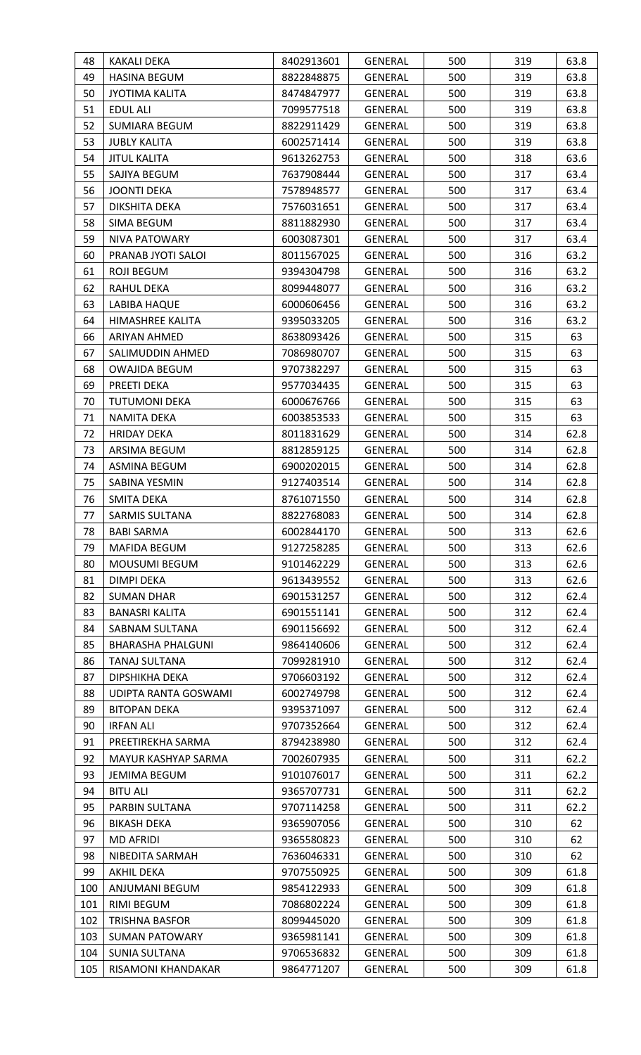| 48       | KAKALI DEKA                             | 8402913601               | <b>GENERAL</b>                   | 500        | 319        | 63.8         |
|----------|-----------------------------------------|--------------------------|----------------------------------|------------|------------|--------------|
| 49       | <b>HASINA BEGUM</b>                     | 8822848875               | <b>GENERAL</b>                   | 500        | 319        | 63.8         |
| 50       | <b>JYOTIMA KALITA</b>                   | 8474847977               | GENERAL                          | 500        | 319        | 63.8         |
| 51       | <b>EDUL ALI</b>                         | 7099577518               | GENERAL                          | 500        | 319        | 63.8         |
| 52       | SUMIARA BEGUM                           | 8822911429               | <b>GENERAL</b>                   | 500        | 319        | 63.8         |
| 53       | <b>JUBLY KALITA</b>                     | 6002571414               | <b>GENERAL</b>                   | 500        | 319        | 63.8         |
| 54       | <b>JITUL KALITA</b>                     | 9613262753               | GENERAL                          | 500        | 318        | 63.6         |
| 55       | SAJIYA BEGUM                            | 7637908444               | GENERAL                          | 500        | 317        | 63.4         |
| 56       | <b>JOONTI DEKA</b>                      | 7578948577               | GENERAL                          | 500        | 317        | 63.4         |
| 57       | DIKSHITA DEKA                           | 7576031651               | GENERAL                          | 500        | 317        | 63.4         |
| 58       | SIMA BEGUM                              | 8811882930               | GENERAL                          | 500        | 317        | 63.4         |
| 59       | NIVA PATOWARY                           | 6003087301               | <b>GENERAL</b>                   | 500        | 317        | 63.4         |
| 60       | PRANAB JYOTI SALOI                      | 8011567025               | GENERAL                          | 500        | 316        | 63.2         |
| 61       | <b>ROJI BEGUM</b>                       | 9394304798               | GENERAL                          | 500        | 316        | 63.2         |
| 62       | RAHUL DEKA                              | 8099448077               | GENERAL                          | 500        | 316        | 63.2         |
| 63       | LABIBA HAQUE                            | 6000606456               | GENERAL                          | 500        | 316        | 63.2         |
| 64       | HIMASHREE KALITA                        | 9395033205               | <b>GENERAL</b>                   | 500        | 316        | 63.2         |
| 66       | <b>ARIYAN AHMED</b>                     | 8638093426               | <b>GENERAL</b>                   | 500        | 315        | 63           |
| 67       | SALIMUDDIN AHMED                        | 7086980707               | GENERAL                          | 500        | 315        | 63           |
| 68       | <b>OWAJIDA BEGUM</b>                    | 9707382297               | <b>GENERAL</b>                   | 500        | 315        | 63           |
| 69       | PREETI DEKA                             | 9577034435               | GENERAL                          | 500        | 315        | 63           |
| 70       | <b>TUTUMONI DEKA</b>                    | 6000676766               | GENERAL                          | 500        | 315        | 63           |
| 71       | NAMITA DEKA                             | 6003853533               | <b>GENERAL</b>                   | 500        | 315        | 63           |
| 72       | <b>HRIDAY DEKA</b>                      | 8011831629               | GENERAL                          | 500        | 314        | 62.8         |
| 73       | ARSIMA BEGUM                            | 8812859125               | GENERAL                          | 500        | 314        | 62.8         |
| 74       | <b>ASMINA BEGUM</b>                     | 6900202015               | <b>GENERAL</b>                   | 500        | 314        | 62.8         |
| 75       | SABINA YESMIN                           | 9127403514               | GENERAL                          | 500        | 314        | 62.8         |
| 76       | SMITA DEKA                              | 8761071550               | GENERAL                          | 500        | 314        | 62.8         |
| 77       | <b>SARMIS SULTANA</b>                   | 8822768083               | <b>GENERAL</b>                   | 500        | 314        | 62.8         |
| 78       | <b>BABI SARMA</b>                       | 6002844170               | <b>GENERAL</b>                   | 500        | 313        | 62.6         |
| 79       | <b>MAFIDA BEGUM</b>                     | 9127258285               | <b>GENERAL</b>                   | 500        | 313        | 62.6         |
| 80       | <b>MOUSUMI BEGUM</b>                    | 9101462229               | <b>GENERAL</b>                   | 500        | 313        | 62.6         |
| 81       | <b>DIMPI DEKA</b>                       | 9613439552               | GENERAL                          | 500        | 313        | 62.6         |
| 82       | <b>SUMAN DHAR</b>                       | 6901531257               | GENERAL                          | 500        | 312        | 62.4         |
| 83       | <b>BANASRI KALITA</b>                   | 6901551141               | GENERAL                          | 500        | 312        | 62.4         |
| 84       | SABNAM SULTANA                          | 6901156692               | <b>GENERAL</b>                   | 500        | 312        | 62.4         |
| 85       | BHARASHA PHALGUNI                       | 9864140606               | <b>GENERAL</b>                   | 500        | 312        | 62.4         |
| 86       | TANAJ SULTANA                           | 7099281910               | <b>GENERAL</b>                   | 500        | 312        | 62.4         |
| 87       | DIPSHIKHA DEKA                          | 9706603192               | GENERAL                          | 500        | 312        | 62.4         |
| 88       | UDIPTA RANTA GOSWAMI                    | 6002749798               | GENERAL                          | 500        | 312        | 62.4         |
| 89<br>90 | <b>BITOPAN DEKA</b><br><b>IRFAN ALI</b> | 9395371097<br>9707352664 | <b>GENERAL</b><br><b>GENERAL</b> | 500<br>500 | 312<br>312 | 62.4<br>62.4 |
| 91       | PREETIREKHA SARMA                       | 8794238980               | GENERAL                          | 500        | 312        | 62.4         |
| 92       | MAYUR KASHYAP SARMA                     | 7002607935               | GENERAL                          | 500        | 311        | 62.2         |
| 93       | JEMIMA BEGUM                            | 9101076017               | GENERAL                          | 500        | 311        | 62.2         |
| 94       | <b>BITU ALI</b>                         | 9365707731               | GENERAL                          | 500        | 311        | 62.2         |
| 95       | PARBIN SULTANA                          | 9707114258               | GENERAL                          | 500        | 311        | 62.2         |
| 96       | <b>BIKASH DEKA</b>                      | 9365907056               | <b>GENERAL</b>                   | 500        | 310        | 62           |
| 97       | <b>MD AFRIDI</b>                        | 9365580823               | GENERAL                          | 500        | 310        | 62           |
| 98       | NIBEDITA SARMAH                         | 7636046331               | <b>GENERAL</b>                   | 500        | 310        | 62           |
| 99       | AKHIL DEKA                              | 9707550925               | GENERAL                          | 500        | 309        | 61.8         |
| 100      | ANJUMANI BEGUM                          | 9854122933               | <b>GENERAL</b>                   | 500        | 309        | 61.8         |
| 101      | RIMI BEGUM                              | 7086802224               | GENERAL                          | 500        | 309        | 61.8         |
| 102      | <b>TRISHNA BASFOR</b>                   | 8099445020               | <b>GENERAL</b>                   | 500        | 309        | 61.8         |
| 103      | <b>SUMAN PATOWARY</b>                   | 9365981141               | GENERAL                          | 500        | 309        | 61.8         |
| 104      | <b>SUNIA SULTANA</b>                    | 9706536832               | GENERAL                          | 500        | 309        | 61.8         |
| 105      | RISAMONI KHANDAKAR                      | 9864771207               | GENERAL                          | 500        | 309        | 61.8         |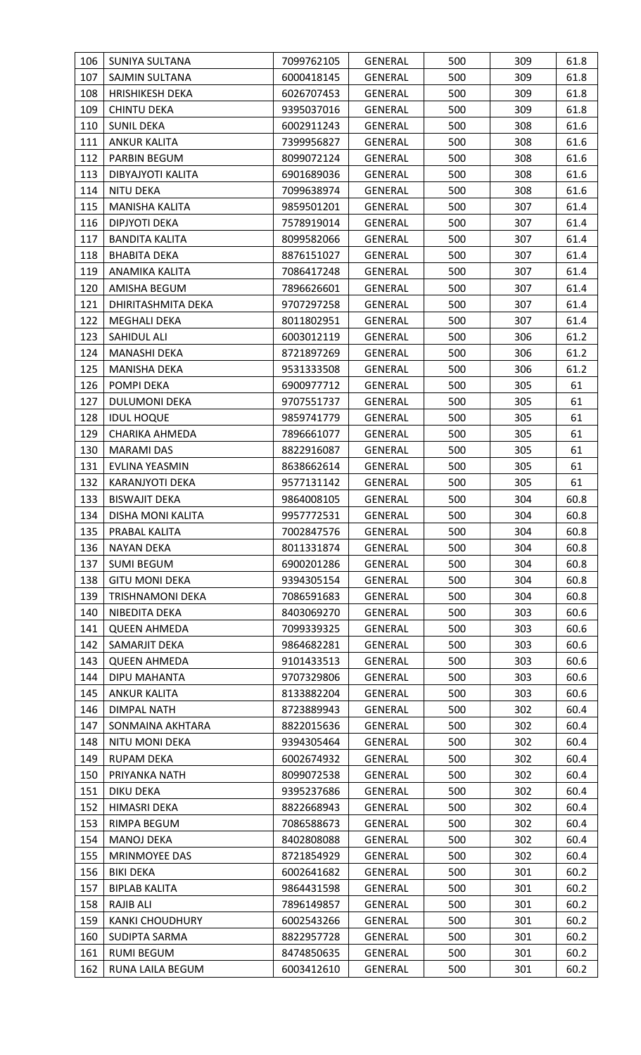| 106 | <b>SUNIYA SULTANA</b>  | 7099762105 | <b>GENERAL</b> | 500 | 309 | 61.8 |
|-----|------------------------|------------|----------------|-----|-----|------|
| 107 | SAJMIN SULTANA         | 6000418145 | <b>GENERAL</b> | 500 | 309 | 61.8 |
| 108 | <b>HRISHIKESH DEKA</b> | 6026707453 | <b>GENERAL</b> | 500 | 309 | 61.8 |
| 109 | <b>CHINTU DEKA</b>     | 9395037016 | GENERAL        | 500 | 309 | 61.8 |
| 110 | <b>SUNIL DEKA</b>      | 6002911243 | <b>GENERAL</b> | 500 | 308 | 61.6 |
| 111 | <b>ANKUR KALITA</b>    | 7399956827 | GENERAL        | 500 | 308 | 61.6 |
| 112 | PARBIN BEGUM           | 8099072124 | <b>GENERAL</b> | 500 | 308 | 61.6 |
| 113 | DIBYAJYOTI KALITA      | 6901689036 | <b>GENERAL</b> | 500 | 308 | 61.6 |
| 114 | <b>NITU DEKA</b>       | 7099638974 | <b>GENERAL</b> | 500 | 308 | 61.6 |
| 115 | MANISHA KALITA         | 9859501201 | <b>GENERAL</b> | 500 | 307 | 61.4 |
| 116 | DIPJYOTI DEKA          | 7578919014 | GENERAL        | 500 | 307 | 61.4 |
| 117 | <b>BANDITA KALITA</b>  | 8099582066 | <b>GENERAL</b> | 500 | 307 | 61.4 |
| 118 | <b>BHABITA DEKA</b>    | 8876151027 | <b>GENERAL</b> | 500 | 307 | 61.4 |
| 119 | ANAMIKA KALITA         | 7086417248 | <b>GENERAL</b> | 500 | 307 | 61.4 |
| 120 | AMISHA BEGUM           | 7896626601 | <b>GENERAL</b> | 500 | 307 | 61.4 |
| 121 | DHIRITASHMITA DEKA     | 9707297258 | <b>GENERAL</b> | 500 | 307 | 61.4 |
| 122 | <b>MEGHALI DEKA</b>    | 8011802951 | GENERAL        | 500 | 307 | 61.4 |
| 123 | SAHIDUL ALI            | 6003012119 | <b>GENERAL</b> | 500 | 306 | 61.2 |
| 124 | MANASHI DEKA           | 8721897269 | <b>GENERAL</b> | 500 | 306 | 61.2 |
| 125 | <b>MANISHA DEKA</b>    | 9531333508 | <b>GENERAL</b> | 500 | 306 | 61.2 |
| 126 | POMPI DEKA             | 6900977712 | GENERAL        | 500 | 305 | 61   |
| 127 | <b>DULUMONI DEKA</b>   | 9707551737 | <b>GENERAL</b> | 500 | 305 | 61   |
| 128 | <b>IDUL HOQUE</b>      | 9859741779 | GENERAL        | 500 | 305 | 61   |
| 129 | <b>CHARIKA AHMEDA</b>  | 7896661077 | <b>GENERAL</b> | 500 | 305 | 61   |
| 130 | <b>MARAMI DAS</b>      | 8822916087 | <b>GENERAL</b> | 500 | 305 | 61   |
| 131 | EVLINA YEASMIN         | 8638662614 | <b>GENERAL</b> | 500 | 305 | 61   |
| 132 | KARANJYOTI DEKA        | 9577131142 | <b>GENERAL</b> | 500 | 305 | 61   |
| 133 | <b>BISWAJIT DEKA</b>   | 9864008105 | GENERAL        | 500 | 304 | 60.8 |
| 134 | DISHA MONI KALITA      | 9957772531 | <b>GENERAL</b> | 500 | 304 | 60.8 |
| 135 | PRABAL KALITA          | 7002847576 | <b>GENERAL</b> | 500 | 304 | 60.8 |
| 136 | <b>NAYAN DEKA</b>      | 8011331874 | <b>GENERAL</b> | 500 | 304 | 60.8 |
| 137 | <b>SUMI BEGUM</b>      | 6900201286 | <b>GENERAL</b> | 500 | 304 | 60.8 |
| 138 | <b>GITU MONI DEKA</b>  | 9394305154 | <b>GENERAL</b> | 500 | 304 | 60.8 |
| 139 | TRISHNAMONI DEKA       | 7086591683 | <b>GENERAL</b> | 500 | 304 | 60.8 |
| 140 | NIBEDITA DEKA          | 8403069270 | GENERAL        | 500 | 303 | 60.6 |
| 141 | <b>QUEEN AHMEDA</b>    | 7099339325 | <b>GENERAL</b> | 500 | 303 | 60.6 |
| 142 | SAMARJIT DEKA          | 9864682281 | GENERAL        | 500 | 303 | 60.6 |
| 143 | <b>QUEEN AHMEDA</b>    | 9101433513 | <b>GENERAL</b> | 500 | 303 | 60.6 |
| 144 | DIPU MAHANTA           | 9707329806 | <b>GENERAL</b> | 500 | 303 | 60.6 |
| 145 | <b>ANKUR KALITA</b>    | 8133882204 | GENERAL        | 500 | 303 | 60.6 |
| 146 | <b>DIMPAL NATH</b>     | 8723889943 | GENERAL        | 500 | 302 | 60.4 |
| 147 | SONMAINA AKHTARA       | 8822015636 | GENERAL        | 500 | 302 | 60.4 |
| 148 | <b>NITU MONI DEKA</b>  | 9394305464 | <b>GENERAL</b> | 500 | 302 | 60.4 |
| 149 | <b>RUPAM DEKA</b>      | 6002674932 | <b>GENERAL</b> | 500 | 302 | 60.4 |
| 150 | PRIYANKA NATH          | 8099072538 | <b>GENERAL</b> | 500 | 302 | 60.4 |
| 151 | <b>DIKU DEKA</b>       | 9395237686 | <b>GENERAL</b> | 500 | 302 | 60.4 |
| 152 | <b>HIMASRI DEKA</b>    | 8822668943 | <b>GENERAL</b> | 500 | 302 | 60.4 |
| 153 | RIMPA BEGUM            | 7086588673 | <b>GENERAL</b> | 500 | 302 | 60.4 |
| 154 | <b>MANOJ DEKA</b>      | 8402808088 | <b>GENERAL</b> | 500 | 302 | 60.4 |
| 155 | MRINMOYEE DAS          | 8721854929 | <b>GENERAL</b> | 500 | 302 | 60.4 |
| 156 | <b>BIKI DEKA</b>       | 6002641682 | GENERAL        | 500 | 301 | 60.2 |
| 157 | <b>BIPLAB KALITA</b>   | 9864431598 | <b>GENERAL</b> | 500 | 301 | 60.2 |
| 158 | RAJIB ALI              | 7896149857 | <b>GENERAL</b> | 500 | 301 | 60.2 |
| 159 | <b>KANKI CHOUDHURY</b> | 6002543266 | GENERAL        | 500 | 301 | 60.2 |
| 160 | SUDIPTA SARMA          | 8822957728 | <b>GENERAL</b> | 500 | 301 | 60.2 |
| 161 | <b>RUMI BEGUM</b>      | 8474850635 | <b>GENERAL</b> | 500 | 301 | 60.2 |
| 162 | RUNA LAILA BEGUM       | 6003412610 | <b>GENERAL</b> | 500 | 301 | 60.2 |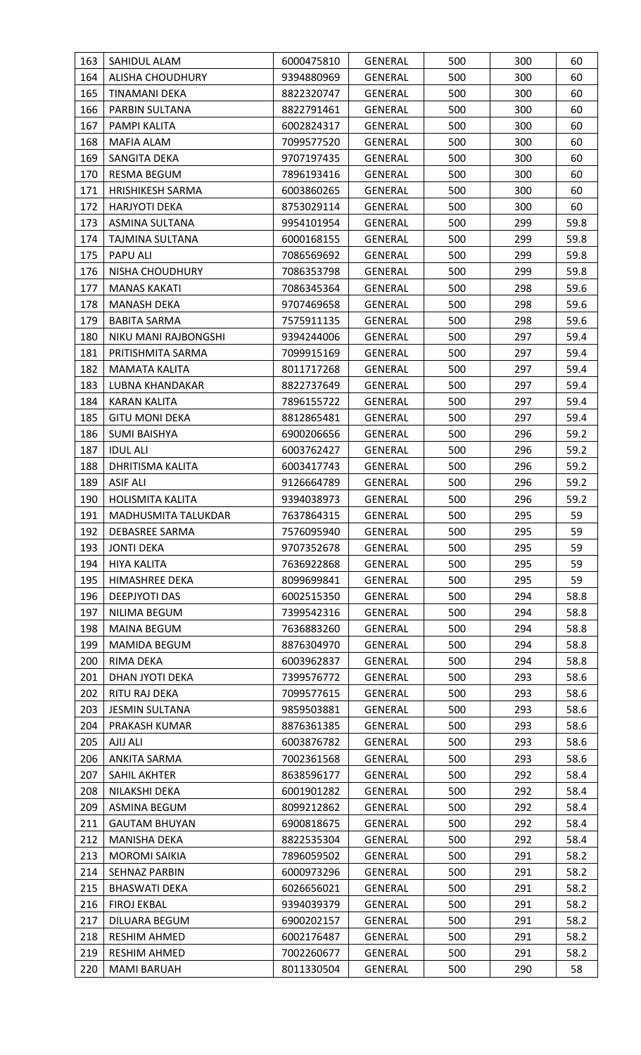| 163        | SAHIDUL ALAM                    | 6000475810               | <b>GENERAL</b>                   | 500        | 300        | 60           |
|------------|---------------------------------|--------------------------|----------------------------------|------------|------------|--------------|
| 164        | <b>ALISHA CHOUDHURY</b>         | 9394880969               | <b>GENERAL</b>                   | 500        | 300        | 60           |
| 165        | TINAMANI DEKA                   | 8822320747               | <b>GENERAL</b>                   | 500        | 300        | 60           |
| 166        | PARBIN SULTANA                  | 8822791461               | <b>GENERAL</b>                   | 500        | 300        | 60           |
| 167        | PAMPI KALITA                    | 6002824317               | <b>GENERAL</b>                   | 500        | 300        | 60           |
| 168        | MAFIA ALAM                      | 7099577520               | <b>GENERAL</b>                   | 500        | 300        | 60           |
| 169        | SANGITA DEKA                    | 9707197435               | GENERAL                          | 500        | 300        | 60           |
| 170        | RESMA BEGUM                     | 7896193416               | <b>GENERAL</b>                   | 500        | 300        | 60           |
| 171        | <b>HRISHIKESH SARMA</b>         | 6003860265               | <b>GENERAL</b>                   | 500        | 300        | 60           |
| 172        | <b>HARJYOTI DEKA</b>            | 8753029114               | <b>GENERAL</b>                   | 500        | 300        | 60           |
| 173        | ASMINA SULTANA                  | 9954101954               | <b>GENERAL</b>                   | 500        | 299        | 59.8         |
| 174        | TAJMINA SULTANA                 | 6000168155               | <b>GENERAL</b>                   | 500        | 299        | 59.8         |
| 175        | PAPU ALI                        | 7086569692               | <b>GENERAL</b>                   | 500        | 299        | 59.8         |
| 176        | NISHA CHOUDHURY                 | 7086353798               | <b>GENERAL</b>                   | 500        | 299        | 59.8         |
| 177        | <b>MANAS KAKATI</b>             | 7086345364               | GENERAL                          | 500        | 298        | 59.6         |
| 178        | <b>MANASH DEKA</b>              | 9707469658               | <b>GENERAL</b>                   | 500        | 298        | 59.6         |
| 179        | <b>BABITA SARMA</b>             | 7575911135               | <b>GENERAL</b>                   | 500        | 298        | 59.6         |
| 180        | NIKU MANI RAJBONGSHI            | 9394244006               | <b>GENERAL</b>                   | 500        | 297        | 59.4         |
| 181        | PRITISHMITA SARMA               | 7099915169               | <b>GENERAL</b>                   | 500        | 297        | 59.4         |
| 182        | MAMATA KALITA                   | 8011717268               | GENERAL                          | 500        | 297        | 59.4         |
| 183        | LUBNA KHANDAKAR                 | 8822737649               | GENERAL                          | 500        | 297        | 59.4         |
| 184        | <b>KARAN KALITA</b>             | 7896155722               | GENERAL                          | 500        | 297        | 59.4         |
| 185        | <b>GITU MONI DEKA</b>           | 8812865481               | GENERAL                          | 500        | 297        | 59.4         |
| 186        | <b>SUMI BAISHYA</b>             | 6900206656               | <b>GENERAL</b>                   | 500        | 296        | 59.2         |
| 187        | <b>IDUL ALI</b>                 | 6003762427               | <b>GENERAL</b>                   | 500        | 296        | 59.2         |
| 188        | <b>DHRITISMA KALITA</b>         | 6003417743               | <b>GENERAL</b>                   | 500        | 296        | 59.2         |
| 189        | <b>ASIF ALI</b>                 | 9126664789               | GENERAL                          | 500        | 296        | 59.2         |
| 190        | <b>HOLISMITA KALITA</b>         | 9394038973               | GENERAL                          | 500        | 296        | 59.2         |
| 191        | MADHUSMITA TALUKDAR             | 7637864315               | <b>GENERAL</b>                   | 500        | 295        | 59           |
| 192        | <b>DEBASREE SARMA</b>           | 7576095940               | <b>GENERAL</b>                   | 500        | 295        | 59           |
| 193        | <b>JONTI DEKA</b>               | 9707352678               | <b>GENERAL</b>                   | 500        | 295        | 59           |
| 194        | <b>HIYA KALITA</b>              | 7636922868               | <b>GENERAL</b>                   | 500        | 295        | 59           |
| 195        | <b>HIMASHREE DEKA</b>           | 8099699841               | GENERAL                          | 500        | 295        | 59           |
| 196        | <b>DEEPJYOTI DAS</b>            | 6002515350               | GENERAL                          | 500        | 294        | 58.8         |
| 197        | NILIMA BEGUM                    | 7399542316               | GENERAL                          | 500        | 294        | 58.8         |
| 198        | <b>MAINA BEGUM</b>              | 7636883260               | <b>GENERAL</b>                   | 500        | 294        | 58.8         |
| 199        | <b>MAMIDA BEGUM</b>             | 8876304970               | <b>GENERAL</b>                   | 500        | 294        | 58.8         |
| 200        | RIMA DEKA                       | 6003962837               | <b>GENERAL</b>                   | 500        | 294        | 58.8         |
| 201        | DHAN JYOTI DEKA                 | 7399576772               | <b>GENERAL</b>                   | 500        | 293        | 58.6         |
| 202        | RITU RAJ DEKA                   | 7099577615               | GENERAL                          | 500        | 293        | 58.6         |
| 203<br>204 | JESMIN SULTANA<br>PRAKASH KUMAR | 9859503881<br>8876361385 | <b>GENERAL</b><br><b>GENERAL</b> | 500<br>500 | 293<br>293 | 58.6<br>58.6 |
| 205        | AJIJ ALI                        | 6003876782               | <b>GENERAL</b>                   | 500        | 293        | 58.6         |
| 206        |                                 |                          |                                  | 500        | 293        | 58.6         |
| 207        | ANKITA SARMA<br>SAHIL AKHTER    | 7002361568<br>8638596177 | <b>GENERAL</b><br><b>GENERAL</b> | 500        | 292        | 58.4         |
| 208        | NILAKSHI DEKA                   | 6001901282               | <b>GENERAL</b>                   | 500        | 292        | 58.4         |
| 209        | ASMINA BEGUM                    | 8099212862               | <b>GENERAL</b>                   | 500        | 292        | 58.4         |
| 211        | <b>GAUTAM BHUYAN</b>            | 6900818675               | <b>GENERAL</b>                   | 500        | 292        | 58.4         |
| 212        | <b>MANISHA DEKA</b>             | 8822535304               | <b>GENERAL</b>                   | 500        | 292        | 58.4         |
| 213        | <b>MOROMI SAIKIA</b>            | 7896059502               | <b>GENERAL</b>                   | 500        | 291        | 58.2         |
| 214        | <b>SEHNAZ PARBIN</b>            | 6000973296               | <b>GENERAL</b>                   | 500        | 291        | 58.2         |
| 215        | <b>BHASWATI DEKA</b>            | 6026656021               | GENERAL                          | 500        | 291        | 58.2         |
| 216        | <b>FIROJ EKBAL</b>              | 9394039379               | <b>GENERAL</b>                   | 500        | 291        | 58.2         |
| 217        | DILUARA BEGUM                   | 6900202157               | <b>GENERAL</b>                   | 500        | 291        | 58.2         |
| 218        | <b>RESHIM AHMED</b>             | 6002176487               | <b>GENERAL</b>                   | 500        | 291        | 58.2         |
| 219        | <b>RESHIM AHMED</b>             | 7002260677               | GENERAL                          | 500        | 291        | 58.2         |
| 220        | <b>MAMI BARUAH</b>              | 8011330504               | <b>GENERAL</b>                   | 500        | 290        | 58           |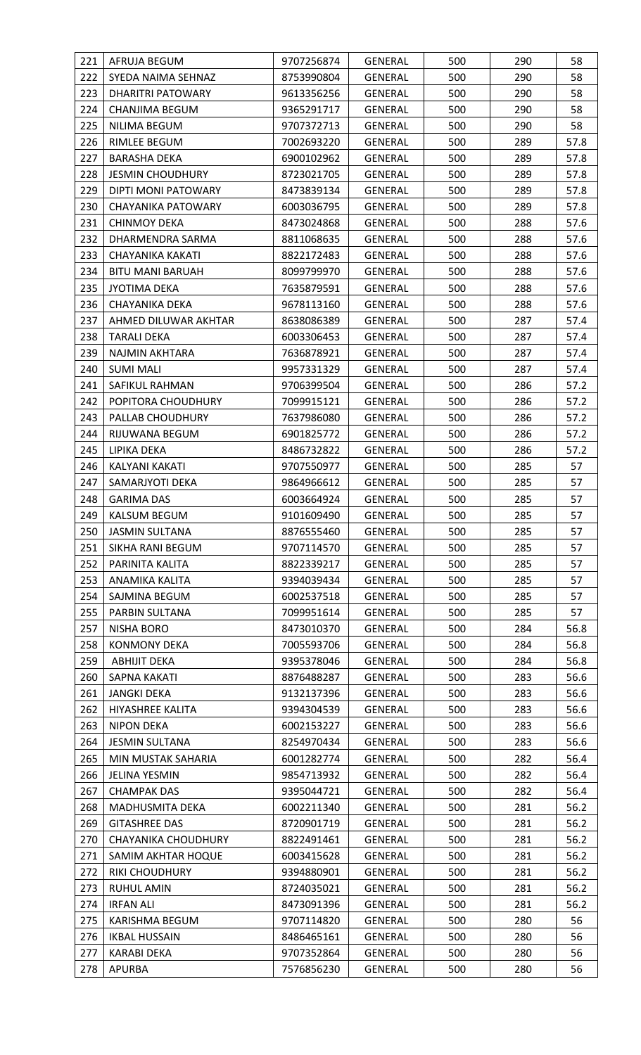| 221 | AFRUJA BEGUM            | 9707256874 | <b>GENERAL</b> | 500 | 290 | 58   |
|-----|-------------------------|------------|----------------|-----|-----|------|
| 222 | SYEDA NAIMA SEHNAZ      | 8753990804 | <b>GENERAL</b> | 500 | 290 | 58   |
| 223 | DHARITRI PATOWARY       | 9613356256 | <b>GENERAL</b> | 500 | 290 | 58   |
| 224 | CHANJIMA BEGUM          | 9365291717 | GENERAL        | 500 | 290 | 58   |
| 225 | NILIMA BEGUM            | 9707372713 | <b>GENERAL</b> | 500 | 290 | 58   |
| 226 | RIMLEE BEGUM            | 7002693220 | <b>GENERAL</b> | 500 | 289 | 57.8 |
| 227 | <b>BARASHA DEKA</b>     | 6900102962 | <b>GENERAL</b> | 500 | 289 | 57.8 |
| 228 | <b>JESMIN CHOUDHURY</b> | 8723021705 | GENERAL        | 500 | 289 | 57.8 |
| 229 | DIPTI MONI PATOWARY     | 8473839134 | GENERAL        | 500 | 289 | 57.8 |
| 230 | CHAYANIKA PATOWARY      | 6003036795 | <b>GENERAL</b> | 500 | 289 | 57.8 |
| 231 | <b>CHINMOY DEKA</b>     | 8473024868 | GENERAL        | 500 | 288 | 57.6 |
| 232 | DHARMENDRA SARMA        | 8811068635 | <b>GENERAL</b> | 500 | 288 | 57.6 |
| 233 | CHAYANIKA KAKATI        | 8822172483 | <b>GENERAL</b> | 500 | 288 | 57.6 |
| 234 | <b>BITU MANI BARUAH</b> | 8099799970 | GENERAL        | 500 | 288 | 57.6 |
| 235 | <b>JYOTIMA DEKA</b>     | 7635879591 | GENERAL        | 500 | 288 | 57.6 |
| 236 | CHAYANIKA DEKA          | 9678113160 | <b>GENERAL</b> | 500 | 288 | 57.6 |
| 237 | AHMED DILUWAR AKHTAR    | 8638086389 | GENERAL        | 500 | 287 | 57.4 |
| 238 | TARALI DEKA             | 6003306453 | GENERAL        | 500 | 287 | 57.4 |
| 239 | NAJMIN AKHTARA          | 7636878921 | <b>GENERAL</b> | 500 | 287 | 57.4 |
| 240 | <b>SUMI MALI</b>        | 9957331329 | <b>GENERAL</b> | 500 | 287 | 57.4 |
| 241 | SAFIKUL RAHMAN          | 9706399504 | GENERAL        | 500 | 286 | 57.2 |
| 242 | POPITORA CHOUDHURY      | 7099915121 | GENERAL        | 500 | 286 | 57.2 |
| 243 | PALLAB CHOUDHURY        | 7637986080 | <b>GENERAL</b> | 500 | 286 | 57.2 |
| 244 | RIJUWANA BEGUM          | 6901825772 | GENERAL        | 500 | 286 | 57.2 |
| 245 | LIPIKA DEKA             | 8486732822 | <b>GENERAL</b> | 500 | 286 | 57.2 |
| 246 | KALYANI KAKATI          | 9707550977 | <b>GENERAL</b> | 500 | 285 | 57   |
| 247 | SAMARJYOTI DEKA         | 9864966612 | GENERAL        | 500 | 285 | 57   |
| 248 | <b>GARIMA DAS</b>       | 6003664924 | GENERAL        | 500 | 285 | 57   |
| 249 | <b>KALSUM BEGUM</b>     | 9101609490 | <b>GENERAL</b> | 500 | 285 | 57   |
| 250 | <b>JASMIN SULTANA</b>   | 8876555460 | <b>GENERAL</b> | 500 | 285 | 57   |
| 251 | SIKHA RANI BEGUM        | 9707114570 | <b>GENERAL</b> | 500 | 285 | 57   |
| 252 | PARINITA KALITA         | 8822339217 | <b>GENERAL</b> | 500 | 285 | 57   |
| 253 | ANAMIKA KALITA          | 9394039434 | GENERAL        | 500 | 285 | 57   |
| 254 | SAJMINA BEGUM           | 6002537518 | <b>GENERAL</b> | 500 | 285 | 57   |
| 255 | PARBIN SULTANA          | 7099951614 | <b>GENERAL</b> | 500 | 285 | 57   |
| 257 | <b>NISHA BORO</b>       | 8473010370 | <b>GENERAL</b> | 500 | 284 | 56.8 |
| 258 | <b>KONMONY DEKA</b>     | 7005593706 | GENERAL        | 500 | 284 | 56.8 |
| 259 | <b>ABHIJIT DEKA</b>     | 9395378046 | <b>GENERAL</b> | 500 | 284 | 56.8 |
| 260 | SAPNA KAKATI            | 8876488287 | <b>GENERAL</b> | 500 | 283 | 56.6 |
| 261 | JANGKI DEKA             | 9132137396 | <b>GENERAL</b> | 500 | 283 | 56.6 |
| 262 | HIYASHREE KALITA        | 9394304539 | GENERAL        | 500 | 283 | 56.6 |
| 263 | NIPON DEKA              | 6002153227 | GENERAL        | 500 | 283 | 56.6 |
| 264 | <b>JESMIN SULTANA</b>   | 8254970434 | GENERAL        | 500 | 283 | 56.6 |
| 265 | MIN MUSTAK SAHARIA      | 6001282774 | GENERAL        | 500 | 282 | 56.4 |
| 266 | JELINA YESMIN           | 9854713932 | GENERAL        | 500 | 282 | 56.4 |
| 267 | <b>CHAMPAK DAS</b>      | 9395044721 | <b>GENERAL</b> | 500 | 282 | 56.4 |
| 268 | <b>MADHUSMITA DEKA</b>  | 6002211340 | GENERAL        | 500 | 281 | 56.2 |
| 269 | <b>GITASHREE DAS</b>    | 8720901719 | GENERAL        | 500 | 281 | 56.2 |
| 270 | CHAYANIKA CHOUDHURY     | 8822491461 | <b>GENERAL</b> | 500 | 281 | 56.2 |
| 271 | SAMIM AKHTAR HOQUE      | 6003415628 | GENERAL        | 500 | 281 | 56.2 |
| 272 | <b>RIKI CHOUDHURY</b>   | 9394880901 | <b>GENERAL</b> | 500 | 281 | 56.2 |
| 273 | <b>RUHUL AMIN</b>       | 8724035021 | <b>GENERAL</b> | 500 | 281 | 56.2 |
| 274 | <b>IRFAN ALI</b>        | 8473091396 | <b>GENERAL</b> | 500 | 281 | 56.2 |
| 275 | KARISHMA BEGUM          | 9707114820 | GENERAL        | 500 | 280 | 56   |
| 276 | <b>IKBAL HUSSAIN</b>    | 8486465161 | <b>GENERAL</b> | 500 | 280 | 56   |
| 277 | <b>KARABI DEKA</b>      | 9707352864 | GENERAL        | 500 | 280 | 56   |
| 278 | <b>APURBA</b>           | 7576856230 | GENERAL        | 500 | 280 | 56   |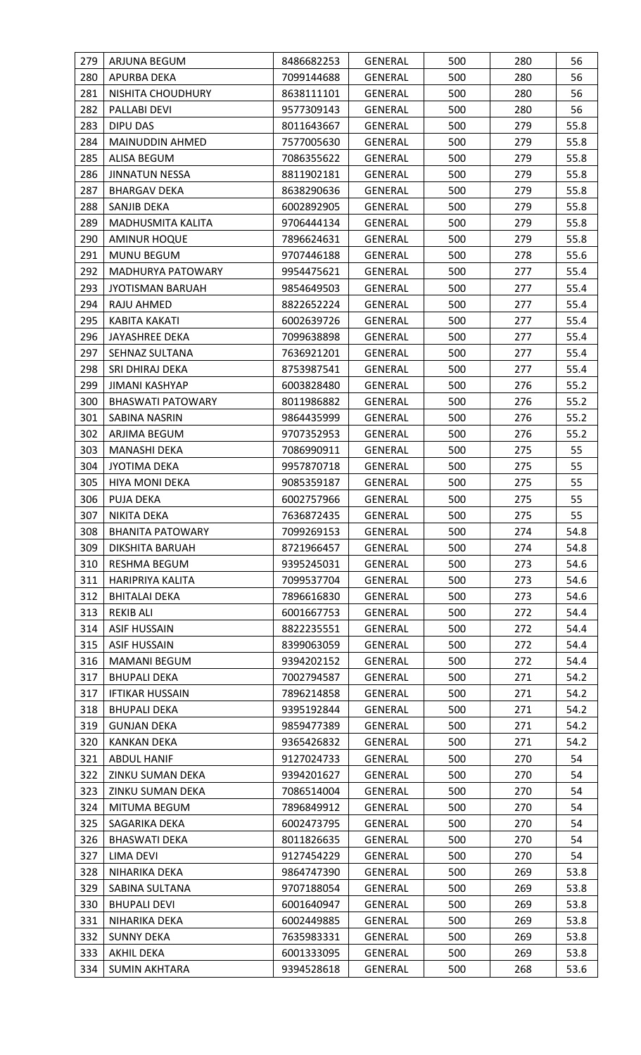| 279 | ARJUNA BEGUM             | 8486682253 | <b>GENERAL</b> | 500 | 280 | 56   |
|-----|--------------------------|------------|----------------|-----|-----|------|
| 280 | APURBA DEKA              | 7099144688 | <b>GENERAL</b> | 500 | 280 | 56   |
| 281 | NISHITA CHOUDHURY        | 8638111101 | <b>GENERAL</b> | 500 | 280 | 56   |
| 282 | PALLABI DEVI             | 9577309143 | <b>GENERAL</b> | 500 | 280 | 56   |
| 283 | <b>DIPU DAS</b>          | 8011643667 | <b>GENERAL</b> | 500 | 279 | 55.8 |
| 284 | MAINUDDIN AHMED          | 7577005630 | GENERAL        | 500 | 279 | 55.8 |
| 285 | ALISA BEGUM              | 7086355622 | <b>GENERAL</b> | 500 | 279 | 55.8 |
| 286 | <b>JINNATUN NESSA</b>    | 8811902181 | <b>GENERAL</b> | 500 | 279 | 55.8 |
| 287 | <b>BHARGAV DEKA</b>      | 8638290636 | <b>GENERAL</b> | 500 | 279 | 55.8 |
| 288 | SANJIB DEKA              | 6002892905 | GENERAL        | 500 | 279 | 55.8 |
| 289 | MADHUSMITA KALITA        | 9706444134 | GENERAL        | 500 | 279 | 55.8 |
| 290 | <b>AMINUR HOQUE</b>      | 7896624631 | <b>GENERAL</b> | 500 | 279 | 55.8 |
| 291 | <b>MUNU BEGUM</b>        | 9707446188 | <b>GENERAL</b> | 500 | 278 | 55.6 |
| 292 | MADHURYA PATOWARY        | 9954475621 | GENERAL        | 500 | 277 | 55.4 |
| 293 | <b>JYOTISMAN BARUAH</b>  | 9854649503 | GENERAL        | 500 | 277 | 55.4 |
| 294 | RAJU AHMED               | 8822652224 | <b>GENERAL</b> | 500 | 277 | 55.4 |
| 295 | KABITA KAKATI            | 6002639726 | <b>GENERAL</b> | 500 | 277 | 55.4 |
| 296 | <b>JAYASHREE DEKA</b>    | 7099638898 | GENERAL        | 500 | 277 | 55.4 |
| 297 | SEHNAZ SULTANA           | 7636921201 | <b>GENERAL</b> | 500 | 277 | 55.4 |
| 298 | SRI DHIRAJ DEKA          | 8753987541 | <b>GENERAL</b> | 500 | 277 | 55.4 |
| 299 | JIMANI KASHYAP           | 6003828480 | GENERAL        | 500 | 276 | 55.2 |
| 300 | <b>BHASWATI PATOWARY</b> | 8011986882 | GENERAL        | 500 | 276 | 55.2 |
| 301 | SABINA NASRIN            | 9864435999 | <b>GENERAL</b> | 500 | 276 | 55.2 |
| 302 | ARJIMA BEGUM             | 9707352953 | GENERAL        | 500 | 276 | 55.2 |
| 303 | <b>MANASHI DEKA</b>      | 7086990911 | <b>GENERAL</b> | 500 | 275 | 55   |
| 304 | <b>JYOTIMA DEKA</b>      | 9957870718 | <b>GENERAL</b> | 500 | 275 | 55   |
| 305 | <b>HIYA MONI DEKA</b>    | 9085359187 | GENERAL        | 500 | 275 | 55   |
| 306 | PUJA DEKA                | 6002757966 | GENERAL        | 500 | 275 | 55   |
| 307 | <b>NIKITA DEKA</b>       | 7636872435 | <b>GENERAL</b> | 500 | 275 | 55   |
| 308 | <b>BHANITA PATOWARY</b>  | 7099269153 | <b>GENERAL</b> | 500 | 274 | 54.8 |
| 309 | DIKSHITA BARUAH          | 8721966457 | <b>GENERAL</b> | 500 | 274 | 54.8 |
| 310 | RESHMA BEGUM             | 9395245031 | <b>GENERAL</b> | 500 | 273 | 54.6 |
| 311 | HARIPRIYA KALITA         | 7099537704 | <b>GENERAL</b> | 500 | 273 | 54.6 |
| 312 | <b>BHITALAI DEKA</b>     | 7896616830 | <b>GENERAL</b> | 500 | 273 | 54.6 |
| 313 | <b>REKIB ALI</b>         | 6001667753 | GENERAL        | 500 | 272 | 54.4 |
| 314 | <b>ASIF HUSSAIN</b>      | 8822235551 | <b>GENERAL</b> | 500 | 272 | 54.4 |
| 315 | <b>ASIF HUSSAIN</b>      | 8399063059 | GENERAL        | 500 | 272 | 54.4 |
| 316 | <b>MAMANI BEGUM</b>      | 9394202152 | <b>GENERAL</b> | 500 | 272 | 54.4 |
| 317 | <b>BHUPALI DEKA</b>      | 7002794587 | <b>GENERAL</b> | 500 | 271 | 54.2 |
| 317 | <b>IFTIKAR HUSSAIN</b>   | 7896214858 | <b>GENERAL</b> | 500 | 271 | 54.2 |
| 318 | <b>BHUPALI DEKA</b>      | 9395192844 | <b>GENERAL</b> | 500 | 271 | 54.2 |
| 319 | <b>GUNJAN DEKA</b>       | 9859477389 | <b>GENERAL</b> | 500 | 271 | 54.2 |
| 320 | <b>KANKAN DEKA</b>       | 9365426832 | <b>GENERAL</b> | 500 | 271 | 54.2 |
| 321 | <b>ABDUL HANIF</b>       | 9127024733 | <b>GENERAL</b> | 500 | 270 | 54   |
| 322 | ZINKU SUMAN DEKA         | 9394201627 | <b>GENERAL</b> | 500 | 270 | 54   |
| 323 | ZINKU SUMAN DEKA         | 7086514004 | <b>GENERAL</b> | 500 | 270 | 54   |
| 324 | MITUMA BEGUM             | 7896849912 | GENERAL        | 500 | 270 | 54   |
| 325 | SAGARIKA DEKA            | 6002473795 | <b>GENERAL</b> | 500 | 270 | 54   |
| 326 | <b>BHASWATI DEKA</b>     | 8011826635 | GENERAL        | 500 | 270 | 54   |
| 327 | LIMA DEVI                | 9127454229 | <b>GENERAL</b> | 500 | 270 | 54   |
| 328 | NIHARIKA DEKA            | 9864747390 | GENERAL        | 500 | 269 | 53.8 |
| 329 | SABINA SULTANA           | 9707188054 | GENERAL        | 500 | 269 | 53.8 |
| 330 | <b>BHUPALI DEVI</b>      | 6001640947 | <b>GENERAL</b> | 500 | 269 | 53.8 |
| 331 | NIHARIKA DEKA            | 6002449885 | <b>GENERAL</b> | 500 | 269 | 53.8 |
| 332 | <b>SUNNY DEKA</b>        | 7635983331 | <b>GENERAL</b> | 500 | 269 | 53.8 |
| 333 | <b>AKHIL DEKA</b>        | 6001333095 | GENERAL        | 500 | 269 | 53.8 |
| 334 | <b>SUMIN AKHTARA</b>     | 9394528618 | <b>GENERAL</b> | 500 | 268 | 53.6 |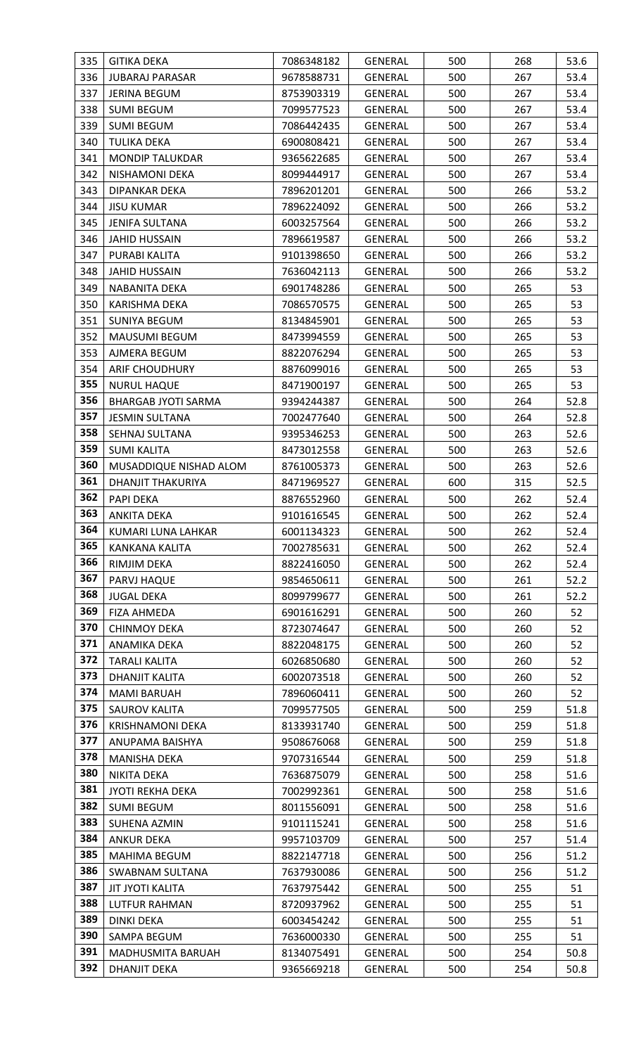| 335        | <b>GITIKA DEKA</b>                 | 7086348182               | GENERAL                          | 500        | 268        | 53.6     |
|------------|------------------------------------|--------------------------|----------------------------------|------------|------------|----------|
| 336        | <b>JUBARAJ PARASAR</b>             | 9678588731               | <b>GENERAL</b>                   | 500        | 267        | 53.4     |
| 337        | <b>JERINA BEGUM</b>                | 8753903319               | <b>GENERAL</b>                   | 500        | 267        | 53.4     |
| 338        | <b>SUMI BEGUM</b>                  | 7099577523               | GENERAL                          | 500        | 267        | 53.4     |
| 339        | <b>SUMI BEGUM</b>                  | 7086442435               | <b>GENERAL</b>                   | 500        | 267        | 53.4     |
| 340        | <b>TULIKA DEKA</b>                 | 6900808421               | <b>GENERAL</b>                   | 500        | 267        | 53.4     |
| 341        | <b>MONDIP TALUKDAR</b>             | 9365622685               | <b>GENERAL</b>                   | 500        | 267        | 53.4     |
| 342        | NISHAMONI DEKA                     | 8099444917               | GENERAL                          | 500        | 267        | 53.4     |
| 343        | DIPANKAR DEKA                      | 7896201201               | <b>GENERAL</b>                   | 500        | 266        | 53.2     |
| 344        | <b>JISU KUMAR</b>                  | 7896224092               | GENERAL                          | 500        | 266        | 53.2     |
| 345        | JENIFA SULTANA                     | 6003257564               | GENERAL                          | 500        | 266        | 53.2     |
| 346        | <b>JAHID HUSSAIN</b>               | 7896619587               | <b>GENERAL</b>                   | 500        | 266        | 53.2     |
| 347        | PURABI KALITA                      | 9101398650               | GENERAL                          | 500        | 266        | 53.2     |
| 348        | <b>JAHID HUSSAIN</b>               | 7636042113               | GENERAL                          | 500        | 266        | 53.2     |
| 349        | NABANITA DEKA                      | 6901748286               | GENERAL                          | 500        | 265        | 53       |
| 350        | KARISHMA DEKA                      | 7086570575               | GENERAL                          | 500        | 265        | 53       |
| 351        | <b>SUNIYA BEGUM</b>                | 8134845901               | <b>GENERAL</b>                   | 500        | 265        | 53       |
| 352        | <b>MAUSUMI BEGUM</b>               | 8473994559               | GENERAL                          | 500        | 265        | 53       |
| 353        | AJMERA BEGUM                       | 8822076294               | <b>GENERAL</b>                   | 500        | 265        | 53       |
| 354        | <b>ARIF CHOUDHURY</b>              | 8876099016               | GENERAL                          | 500        | 265        | 53       |
| 355        | <b>NURUL HAQUE</b>                 | 8471900197               | GENERAL                          | 500        | 265        | 53       |
| 356        | <b>BHARGAB JYOTI SARMA</b>         | 9394244387               | GENERAL                          | 500        | 264        | 52.8     |
| 357        | <b>JESMIN SULTANA</b>              | 7002477640               | GENERAL                          | 500        | 264        | 52.8     |
| 358        | SEHNAJ SULTANA                     | 9395346253               | GENERAL                          | 500        | 263        | 52.6     |
| 359        | <b>SUMI KALITA</b>                 | 8473012558               | GENERAL                          | 500        | 263        | 52.6     |
| 360        | MUSADDIQUE NISHAD ALOM             | 8761005373               | <b>GENERAL</b>                   | 500        | 263        | 52.6     |
| 361        | DHANJIT THAKURIYA                  | 8471969527               | GENERAL                          | 600        | 315        | 52.5     |
| 362        | PAPI DEKA                          | 8876552960               | GENERAL                          | 500        | 262        | 52.4     |
| 363        | <b>ANKITA DEKA</b>                 | 9101616545               | <b>GENERAL</b>                   | 500        | 262        | 52.4     |
| 364        | KUMARI LUNA LAHKAR                 | 6001134323               | <b>GENERAL</b>                   | 500        | 262        | 52.4     |
| 365        | <b>KANKANA KALITA</b>              | 7002785631               | <b>GENERAL</b>                   | 500        | 262        | 52.4     |
| 366<br>367 | RIMJIM DEKA                        | 8822416050               | <b>GENERAL</b>                   | 500        | 262        | 52.4     |
| 368        | PARVJ HAQUE                        | 9854650611               | GENERAL                          | 500        | 261        | 52.2     |
| 369        | <b>JUGAL DEKA</b>                  | 8099799677               | <b>GENERAL</b>                   | 500        | 261        | 52.2     |
| 370        | FIZA AHMEDA<br><b>CHINMOY DEKA</b> | 6901616291               | <b>GENERAL</b>                   | 500        | 260<br>260 | 52       |
| 371        | ANAMIKA DEKA                       | 8723074647<br>8822048175 | <b>GENERAL</b><br><b>GENERAL</b> | 500<br>500 | 260        | 52<br>52 |
| 372        | <b>TARALI KALITA</b>               | 6026850680               | <b>GENERAL</b>                   | 500        | 260        | 52       |
| 373        | DHANJIT KALITA                     | 6002073518               | <b>GENERAL</b>                   | 500        | 260        | 52       |
| 374        | <b>MAMI BARUAH</b>                 | 7896060411               | GENERAL                          | 500        | 260        | 52       |
| 375        | <b>SAUROV KALITA</b>               | 7099577505               | <b>GENERAL</b>                   | 500        | 259        | 51.8     |
| 376        | <b>KRISHNAMONI DEKA</b>            | 8133931740               | <b>GENERAL</b>                   | 500        | 259        | 51.8     |
| 377        | ANUPAMA BAISHYA                    | 9508676068               | <b>GENERAL</b>                   | 500        | 259        | 51.8     |
| 378        | MANISHA DEKA                       | 9707316544               | GENERAL                          | 500        | 259        | 51.8     |
| 380        | NIKITA DEKA                        | 7636875079               | <b>GENERAL</b>                   | 500        | 258        | 51.6     |
| 381        | JYOTI REKHA DEKA                   | 7002992361               | <b>GENERAL</b>                   | 500        | 258        | 51.6     |
| 382        | <b>SUMI BEGUM</b>                  | 8011556091               | GENERAL                          | 500        | 258        | 51.6     |
| 383        | SUHENA AZMIN                       | 9101115241               | GENERAL                          | 500        | 258        | 51.6     |
| 384        | <b>ANKUR DEKA</b>                  | 9957103709               | <b>GENERAL</b>                   | 500        | 257        | 51.4     |
| 385        | MAHIMA BEGUM                       | 8822147718               | <b>GENERAL</b>                   | 500        | 256        | 51.2     |
| 386        | SWABNAM SULTANA                    | 7637930086               | GENERAL                          | 500        | 256        | 51.2     |
| 387        | <b>JIT JYOTI KALITA</b>            | 7637975442               | <b>GENERAL</b>                   | 500        | 255        | 51       |
| 388        | LUTFUR RAHMAN                      | 8720937962               | <b>GENERAL</b>                   | 500        | 255        | 51       |
| 389        | <b>DINKI DEKA</b>                  | 6003454242               | <b>GENERAL</b>                   | 500        | 255        | 51       |
| 390        | SAMPA BEGUM                        | 7636000330               | <b>GENERAL</b>                   | 500        | 255        | 51       |
| 391        | MADHUSMITA BARUAH                  | 8134075491               | GENERAL                          | 500        | 254        | 50.8     |
| 392        | DHANJIT DEKA                       | 9365669218               | GENERAL                          | 500        | 254        | 50.8     |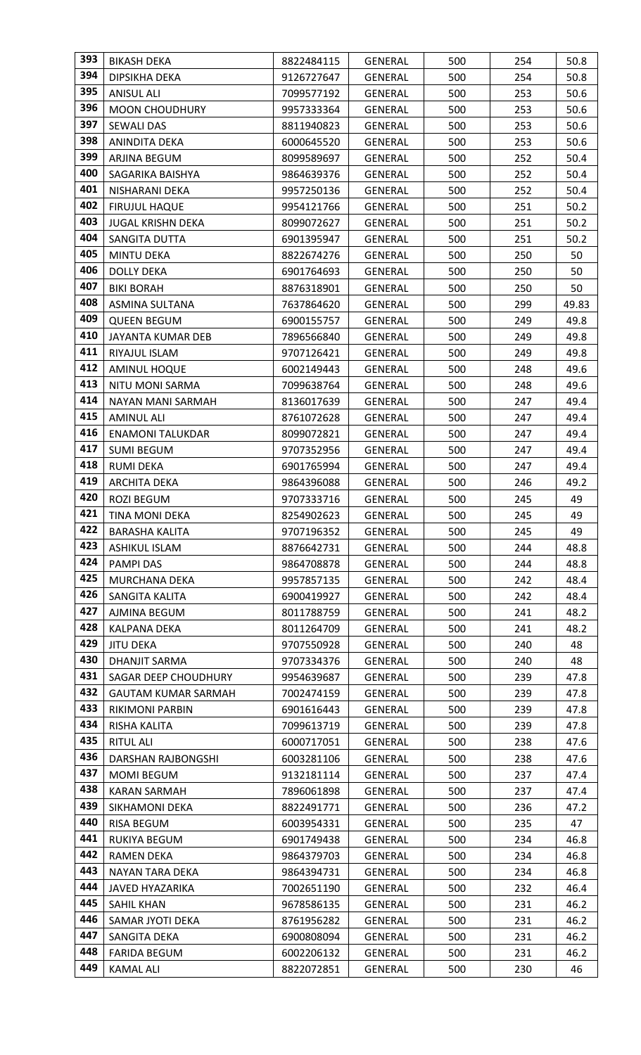| 393        | <b>BIKASH DEKA</b>              | 8822484115               | <b>GENERAL</b>            | 500        | 254        | 50.8         |
|------------|---------------------------------|--------------------------|---------------------------|------------|------------|--------------|
| 394        | DIPSIKHA DEKA                   | 9126727647               | <b>GENERAL</b>            | 500        | 254        | 50.8         |
| 395        | <b>ANISUL ALI</b>               | 7099577192               | <b>GENERAL</b>            | 500        | 253        | 50.6         |
| 396        | <b>MOON CHOUDHURY</b>           | 9957333364               | GENERAL                   | 500        | 253        | 50.6         |
| 397        | <b>SEWALI DAS</b>               | 8811940823               | <b>GENERAL</b>            | 500        | 253        | 50.6         |
| 398        | ANINDITA DEKA                   | 6000645520               | <b>GENERAL</b>            | 500        | 253        | 50.6         |
| 399        | ARJINA BEGUM                    | 8099589697               | GENERAL                   | 500        | 252        | 50.4         |
| 400        | SAGARIKA BAISHYA                | 9864639376               | <b>GENERAL</b>            | 500        | 252        | 50.4         |
| 401        | NISHARANI DEKA                  | 9957250136               | GENERAL                   | 500        | 252        | 50.4         |
| 402        | <b>FIRUJUL HAQUE</b>            | 9954121766               | GENERAL                   | 500        | 251        | 50.2         |
| 403        | <b>JUGAL KRISHN DEKA</b>        | 8099072627               | <b>GENERAL</b>            | 500        | 251        | 50.2         |
| 404        | SANGITA DUTTA                   | 6901395947               | <b>GENERAL</b>            | 500        | 251        | 50.2         |
| 405        | <b>MINTU DEKA</b>               | 8822674276               | <b>GENERAL</b>            | 500        | 250        | 50           |
| 406        | <b>DOLLY DEKA</b>               | 6901764693               | GENERAL                   | 500        | 250        | 50           |
| 407        | <b>BIKI BORAH</b>               | 8876318901               | GENERAL                   | 500        | 250        | 50           |
| 408        | <b>ASMINA SULTANA</b>           | 7637864620               | GENERAL                   | 500        | 299        | 49.83        |
| 409        | <b>QUEEN BEGUM</b>              | 6900155757               | GENERAL                   | 500        | 249        | 49.8         |
| 410        | <b>JAYANTA KUMAR DEB</b>        | 7896566840               | <b>GENERAL</b>            | 500        | 249        | 49.8         |
| 411        | RIYAJUL ISLAM                   | 9707126421               | <b>GENERAL</b>            | 500        | 249        | 49.8         |
| 412        | AMINUL HOQUE                    | 6002149443               | GENERAL                   | 500        | 248        | 49.6         |
| 413        | NITU MONI SARMA                 | 7099638764               | GENERAL                   | 500        | 248        | 49.6         |
| 414        | NAYAN MANI SARMAH               | 8136017639               | GENERAL                   | 500        | 247        | 49.4         |
| 415        | <b>AMINUL ALI</b>               | 8761072628               | <b>GENERAL</b>            | 500        | 247        | 49.4         |
| 416        | <b>ENAMONI TALUKDAR</b>         | 8099072821               | GENERAL                   | 500        | 247        | 49.4         |
| 417        | <b>SUMI BEGUM</b>               | 9707352956               | GENERAL                   | 500        | 247        | 49.4         |
| 418        | <b>RUMI DEKA</b>                | 6901765994               | <b>GENERAL</b>            | 500        | 247        | 49.4         |
| 419        | <b>ARCHITA DEKA</b>             | 9864396088               | GENERAL                   | 500        | 246        | 49.2         |
| 420        | ROZI BEGUM                      | 9707333716               | <b>GENERAL</b>            | 500        | 245        | 49           |
| 421        | <b>TINA MONI DEKA</b>           | 8254902623               | <b>GENERAL</b>            | 500        | 245        | 49           |
| 422        | <b>BARASHA KALITA</b>           | 9707196352               | <b>GENERAL</b>            | 500        | 245        | 49           |
| 423<br>424 | <b>ASHIKUL ISLAM</b>            | 8876642731               | <b>GENERAL</b>            | 500        | 244        | 48.8         |
| 425        | <b>PAMPI DAS</b>                | 9864708878               | <b>GENERAL</b>            | 500        | 244        | 48.8         |
| 426        | MURCHANA DEKA<br>SANGITA KALITA | 9957857135               | GENERAL                   | 500<br>500 | 242<br>242 | 48.4<br>48.4 |
| 427        | AJMINA BEGUM                    | 6900419927<br>8011788759 | GENERAL<br><b>GENERAL</b> | 500        | 241        | 48.2         |
| 428        | KALPANA DEKA                    | 8011264709               | <b>GENERAL</b>            | 500        | 241        | 48.2         |
| 429        | <b>JITU DEKA</b>                | 9707550928               | GENERAL                   | 500        | 240        | 48           |
| 430        | <b>DHANJIT SARMA</b>            | 9707334376               | GENERAL                   | 500        | 240        | 48           |
| 431        | SAGAR DEEP CHOUDHURY            | 9954639687               | <b>GENERAL</b>            | 500        | 239        | 47.8         |
| 432        | <b>GAUTAM KUMAR SARMAH</b>      | 7002474159               | GENERAL                   | 500        | 239        | 47.8         |
| 433        | RIKIMONI PARBIN                 | 6901616443               | <b>GENERAL</b>            | 500        | 239        | 47.8         |
| 434        | RISHA KALITA                    | 7099613719               | <b>GENERAL</b>            | 500        | 239        | 47.8         |
| 435        | <b>RITUL ALI</b>                | 6000717051               | <b>GENERAL</b>            | 500        | 238        | 47.6         |
| 436        | DARSHAN RAJBONGSHI              | 6003281106               | <b>GENERAL</b>            | 500        | 238        | 47.6         |
| 437        | <b>MOMI BEGUM</b>               | 9132181114               | GENERAL                   | 500        | 237        | 47.4         |
| 438        | <b>KARAN SARMAH</b>             | 7896061898               | <b>GENERAL</b>            | 500        | 237        | 47.4         |
| 439        | SIKHAMONI DEKA                  | 8822491771               | <b>GENERAL</b>            | 500        | 236        | 47.2         |
| 440        | RISA BEGUM                      | 6003954331               | <b>GENERAL</b>            | 500        | 235        | 47           |
| 441        | RUKIYA BEGUM                    | 6901749438               | <b>GENERAL</b>            | 500        | 234        | 46.8         |
| 442        | <b>RAMEN DEKA</b>               | 9864379703               | <b>GENERAL</b>            | 500        | 234        | 46.8         |
| 443        | NAYAN TARA DEKA                 | 9864394731               | GENERAL                   | 500        | 234        | 46.8         |
| 444        | JAVED HYAZARIKA                 | 7002651190               | GENERAL                   | 500        | 232        | 46.4         |
| 445        | SAHIL KHAN                      | 9678586135               | <b>GENERAL</b>            | 500        | 231        | 46.2         |
| 446        | SAMAR JYOTI DEKA                | 8761956282               | <b>GENERAL</b>            | 500        | 231        | 46.2         |
| 447        | SANGITA DEKA                    | 6900808094               | <b>GENERAL</b>            | 500        | 231        | 46.2         |
| 448        | <b>FARIDA BEGUM</b>             | 6002206132               | GENERAL                   | 500        | 231        | 46.2         |
| 449        | <b>KAMAL ALI</b>                | 8822072851               | GENERAL                   | 500        | 230        | 46           |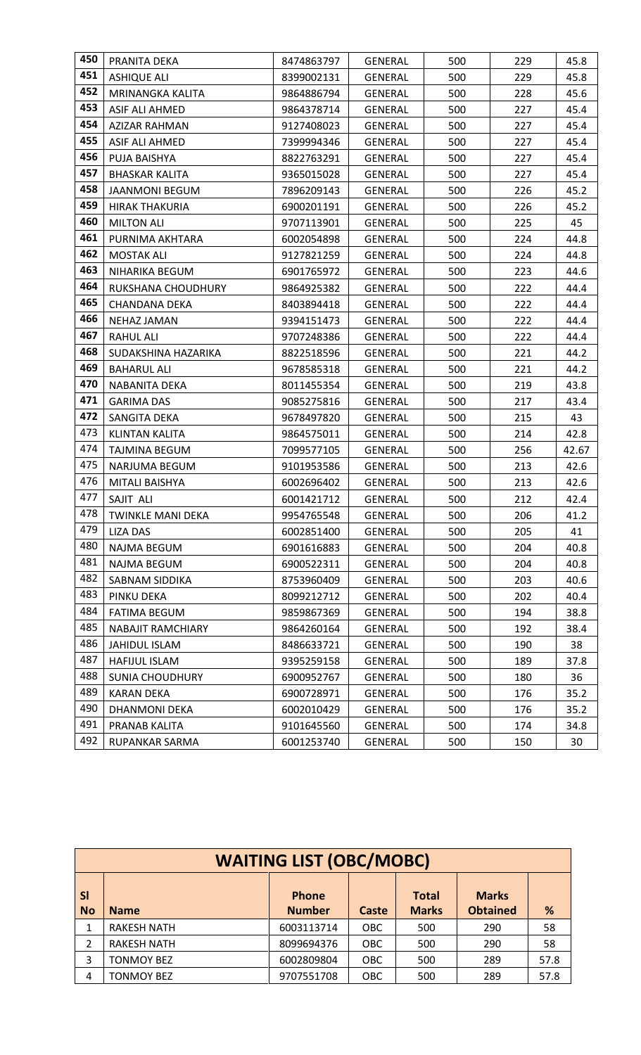| 450 | PRANITA DEKA             | 8474863797 | <b>GENERAL</b> | 500 | 229 | 45.8  |
|-----|--------------------------|------------|----------------|-----|-----|-------|
| 451 | <b>ASHIQUE ALI</b>       | 8399002131 | GENERAL        | 500 | 229 | 45.8  |
| 452 | MRINANGKA KALITA         | 9864886794 | <b>GENERAL</b> | 500 | 228 | 45.6  |
| 453 | ASIF ALI AHMED           | 9864378714 | <b>GENERAL</b> | 500 | 227 | 45.4  |
| 454 | <b>AZIZAR RAHMAN</b>     | 9127408023 | <b>GENERAL</b> | 500 | 227 | 45.4  |
| 455 | <b>ASIF ALI AHMED</b>    | 7399994346 | <b>GENERAL</b> | 500 | 227 | 45.4  |
| 456 | PUJA BAISHYA             | 8822763291 | <b>GENERAL</b> | 500 | 227 | 45.4  |
| 457 | <b>BHASKAR KALITA</b>    | 9365015028 | GENERAL        | 500 | 227 | 45.4  |
| 458 | JAANMONI BEGUM           | 7896209143 | GENERAL        | 500 | 226 | 45.2  |
| 459 | <b>HIRAK THAKURIA</b>    | 6900201191 | GENERAL        | 500 | 226 | 45.2  |
| 460 | <b>MILTON ALI</b>        | 9707113901 | <b>GENERAL</b> | 500 | 225 | 45    |
| 461 | PURNIMA AKHTARA          | 6002054898 | GENERAL        | 500 | 224 | 44.8  |
| 462 | <b>MOSTAK ALI</b>        | 9127821259 | <b>GENERAL</b> | 500 | 224 | 44.8  |
| 463 | NIHARIKA BEGUM           | 6901765972 | GENERAL        | 500 | 223 | 44.6  |
| 464 | RUKSHANA CHOUDHURY       | 9864925382 | <b>GENERAL</b> | 500 | 222 | 44.4  |
| 465 | <b>CHANDANA DEKA</b>     | 8403894418 | <b>GENERAL</b> | 500 | 222 | 44.4  |
| 466 | <b>NEHAZ JAMAN</b>       | 9394151473 | GENERAL        | 500 | 222 | 44.4  |
| 467 | <b>RAHUL ALI</b>         | 9707248386 | GENERAL        | 500 | 222 | 44.4  |
| 468 | SUDAKSHINA HAZARIKA      | 8822518596 | GENERAL        | 500 | 221 | 44.2  |
| 469 | <b>BAHARUL ALI</b>       | 9678585318 | <b>GENERAL</b> | 500 | 221 | 44.2  |
| 470 | NABANITA DEKA            | 8011455354 | GENERAL        | 500 | 219 | 43.8  |
| 471 | <b>GARIMA DAS</b>        | 9085275816 | <b>GENERAL</b> | 500 | 217 | 43.4  |
| 472 | SANGITA DEKA             | 9678497820 | <b>GENERAL</b> | 500 | 215 | 43    |
| 473 | <b>KLINTAN KALITA</b>    | 9864575011 | GENERAL        | 500 | 214 | 42.8  |
| 474 | TAJMINA BEGUM            | 7099577105 | GENERAL        | 500 | 256 | 42.67 |
| 475 | NARJUMA BEGUM            | 9101953586 | GENERAL        | 500 | 213 | 42.6  |
| 476 | MITALI BAISHYA           | 6002696402 | GENERAL        | 500 | 213 | 42.6  |
| 477 | SAJIT ALI                | 6001421712 | GENERAL        | 500 | 212 | 42.4  |
| 478 | <b>TWINKLE MANI DEKA</b> | 9954765548 | <b>GENERAL</b> | 500 | 206 | 41.2  |
| 479 | <b>LIZA DAS</b>          | 6002851400 | <b>GENERAL</b> | 500 | 205 | 41    |
| 480 | <b>NAJMA BEGUM</b>       | 6901616883 | <b>GENERAL</b> | 500 | 204 | 40.8  |
| 481 | NAJMA BEGUM              | 6900522311 | <b>GENERAL</b> | 500 | 204 | 40.8  |
| 482 | SABNAM SIDDIKA           | 8753960409 | <b>GENERAL</b> | 500 | 203 | 40.6  |
| 483 | PINKU DEKA               | 8099212712 | <b>GENERAL</b> | 500 | 202 | 40.4  |
| 484 | <b>FATIMA BEGUM</b>      | 9859867369 | GENERAL        | 500 | 194 | 38.8  |
| 485 | <b>NABAJIT RAMCHIARY</b> | 9864260164 | <b>GENERAL</b> | 500 | 192 | 38.4  |
| 486 | JAHIDUL ISLAM            | 8486633721 | GENERAL        | 500 | 190 | 38    |
| 487 | HAFIJUL ISLAM            | 9395259158 | GENERAL        | 500 | 189 | 37.8  |
| 488 | <b>SUNIA CHOUDHURY</b>   | 6900952767 | <b>GENERAL</b> | 500 | 180 | 36    |
| 489 | KARAN DEKA               | 6900728971 | GENERAL        | 500 | 176 | 35.2  |
| 490 | <b>DHANMONI DEKA</b>     | 6002010429 | <b>GENERAL</b> | 500 | 176 | 35.2  |
| 491 | PRANAB KALITA            | 9101645560 | <b>GENERAL</b> | 500 | 174 | 34.8  |
| 492 | RUPANKAR SARMA           | 6001253740 | GENERAL        | 500 | 150 | 30    |

|                        | <b>WAITING LIST (OBC/MOBC)</b> |                               |            |                              |                                 |      |  |  |
|------------------------|--------------------------------|-------------------------------|------------|------------------------------|---------------------------------|------|--|--|
| <b>SI</b><br><b>No</b> | <b>Name</b>                    | <b>Phone</b><br><b>Number</b> | Caste      | <b>Total</b><br><b>Marks</b> | <b>Marks</b><br><b>Obtained</b> | %    |  |  |
|                        | <b>RAKESH NATH</b>             | 6003113714                    | <b>OBC</b> | 500                          | 290                             | 58   |  |  |
| 2                      | <b>RAKESH NATH</b>             | 8099694376                    | <b>OBC</b> | 500                          | 290                             | 58   |  |  |
| 3                      | <b>TONMOY BEZ</b>              | 6002809804                    | <b>OBC</b> | 500                          | 289                             | 57.8 |  |  |
| 4                      | TONMOY BEZ                     | 9707551708                    | <b>OBC</b> | 500                          | 289                             | 57.8 |  |  |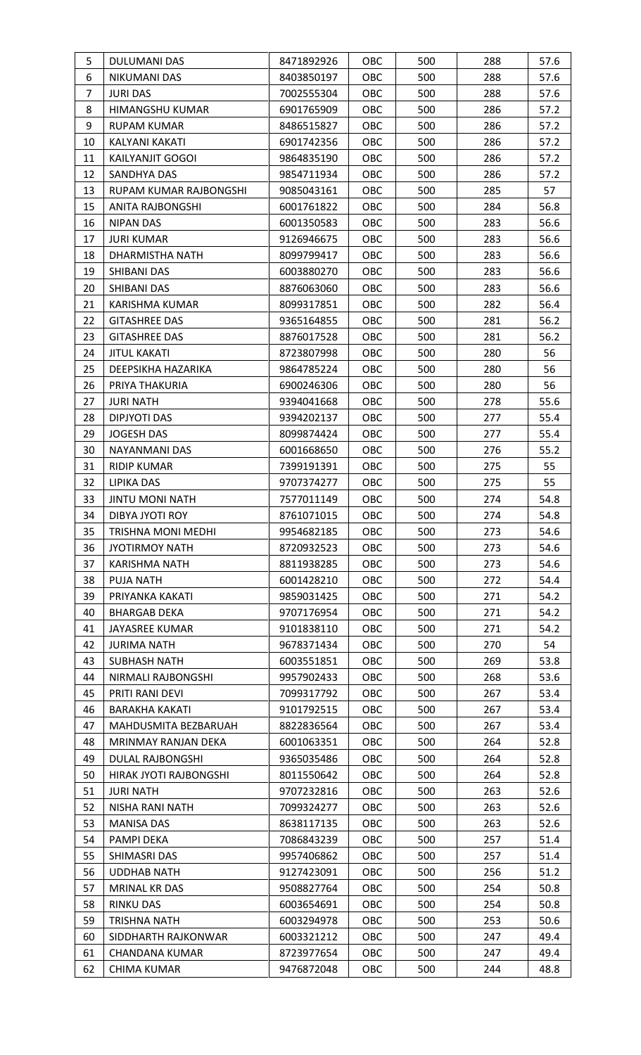| 5              | DULUMANI DAS                      | 8471892926               | OBC        | 500        | 288        | 57.6         |
|----------------|-----------------------------------|--------------------------|------------|------------|------------|--------------|
| 6              | NIKUMANI DAS                      | 8403850197               | OBC        | 500        | 288        | 57.6         |
| $\overline{7}$ | <b>JURI DAS</b>                   | 7002555304               | <b>OBC</b> | 500        | 288        | 57.6         |
| 8              | HIMANGSHU KUMAR                   | 6901765909               | <b>OBC</b> | 500        | 286        | 57.2         |
| 9              | <b>RUPAM KUMAR</b>                | 8486515827               | OBC        | 500        | 286        | 57.2         |
| 10             | KALYANI KAKATI                    | 6901742356               | <b>OBC</b> | 500        | 286        | 57.2         |
| 11             | KAILYANJIT GOGOI                  | 9864835190               | OBC        | 500        | 286        | 57.2         |
| 12             | SANDHYA DAS                       | 9854711934               | OBC        | 500        | 286        | 57.2         |
| 13             | RUPAM KUMAR RAJBONGSHI            | 9085043161               | <b>OBC</b> | 500        | 285        | 57           |
| 15             | ANITA RAJBONGSHI                  | 6001761822               | <b>OBC</b> | 500        | 284        | 56.8         |
| 16             | <b>NIPAN DAS</b>                  | 6001350583               | OBC        | 500        | 283        | 56.6         |
| 17             | <b>JURI KUMAR</b>                 | 9126946675               | OBC        | 500        | 283        | 56.6         |
| 18             | DHARMISTHA NATH                   | 8099799417               | <b>OBC</b> | 500        | 283        | 56.6         |
| 19             | SHIBANI DAS                       | 6003880270               | OBC        | 500        | 283        | 56.6         |
| 20             | SHIBANI DAS                       | 8876063060               | OBC        | 500        | 283        | 56.6         |
| 21             | <b>KARISHMA KUMAR</b>             | 8099317851               | <b>OBC</b> | 500        | 282        | 56.4         |
| 22             | <b>GITASHREE DAS</b>              | 9365164855               | OBC        | 500        | 281        | 56.2         |
| 23             | <b>GITASHREE DAS</b>              | 8876017528               | <b>OBC</b> | 500        | 281        | 56.2         |
| 24             | <b>JITUL KAKATI</b>               | 8723807998               | <b>OBC</b> | 500        | 280        | 56           |
| 25             | DEEPSIKHA HAZARIKA                | 9864785224               | <b>OBC</b> | 500        | 280        | 56           |
| 26             | PRIYA THAKURIA                    | 6900246306               | OBC        | 500        | 280        | 56           |
| 27             | <b>JURI NATH</b>                  | 9394041668               | <b>OBC</b> | 500        | 278        | 55.6         |
| 28             | DIPJYOTI DAS                      | 9394202137               | <b>OBC</b> | 500        | 277        | 55.4         |
| 29             | <b>JOGESH DAS</b>                 | 8099874424               | OBC        | 500        | 277        | 55.4         |
| 30             | NAYANMANI DAS                     | 6001668650               | OBC        | 500        | 276        | 55.2         |
| 31             | <b>RIDIP KUMAR</b>                | 7399191391               | OBC        | 500        | 275        | 55           |
| 32             | <b>LIPIKA DAS</b>                 | 9707374277               | <b>OBC</b> | 500        | 275        | 55           |
| 33             | <b>JINTU MONI NATH</b>            | 7577011149               | OBC        | 500        | 274        | 54.8         |
| 34             | DIBYA JYOTI ROY                   | 8761071015               | OBC        | 500        | 274        | 54.8         |
| 35             | TRISHNA MONI MEDHI                | 9954682185<br>8720932523 | <b>OBC</b> | 500        | 273        | 54.6         |
| 36             | <b>JYOTIRMOY NATH</b>             |                          | OBC        | 500        | 273<br>273 | 54.6         |
| 37<br>38       | KARISHMA NATH<br><b>PUJA NATH</b> | 8811938285<br>6001428210 | OBC<br>OBC | 500<br>500 | 272        | 54.6<br>54.4 |
| 39             | PRIYANKA KAKATI                   | 9859031425               | <b>OBC</b> | 500        | 271        | 54.2         |
| 40             | <b>BHARGAB DEKA</b>               | 9707176954               | <b>OBC</b> | 500        | 271        | 54.2         |
| 41             | JAYASREE KUMAR                    | 9101838110               | <b>OBC</b> | 500        | 271        | 54.2         |
| 42             | <b>JURIMA NATH</b>                | 9678371434               | <b>OBC</b> | 500        | 270        | 54           |
| 43             | <b>SUBHASH NATH</b>               | 6003551851               | OBC        | 500        | 269        | 53.8         |
| 44             | NIRMALI RAJBONGSHI                | 9957902433               | <b>OBC</b> | 500        | 268        | 53.6         |
| 45             | PRITI RANI DEVI                   | 7099317792               | OBC        | 500        | 267        | 53.4         |
| 46             | <b>BARAKHA KAKATI</b>             | 9101792515               | OBC        | 500        | 267        | 53.4         |
| 47             | MAHDUSMITA BEZBARUAH              | 8822836564               | <b>OBC</b> | 500        | 267        | 53.4         |
| 48             | MRINMAY RANJAN DEKA               | 6001063351               | OBC        | 500        | 264        | 52.8         |
| 49             | DULAL RAJBONGSHI                  | 9365035486               | <b>OBC</b> | 500        | 264        | 52.8         |
| 50             | HIRAK JYOTI RAJBONGSHI            | 8011550642               | OBC        | 500        | 264        | 52.8         |
| 51             | <b>JURI NATH</b>                  | 9707232816               | OBC        | 500        | 263        | 52.6         |
| 52             | NISHA RANI NATH                   | 7099324277               | <b>OBC</b> | 500        | 263        | 52.6         |
| 53             | <b>MANISA DAS</b>                 | 8638117135               | OBC        | 500        | 263        | 52.6         |
| 54             | PAMPI DEKA                        | 7086843239               | <b>OBC</b> | 500        | 257        | 51.4         |
| 55             | SHIMASRI DAS                      | 9957406862               | OBC        | 500        | 257        | 51.4         |
| 56             | <b>UDDHAB NATH</b>                | 9127423091               | <b>OBC</b> | 500        | 256        | 51.2         |
| 57             | <b>MRINAL KR DAS</b>              | 9508827764               | OBC        | 500        | 254        | 50.8         |
| 58             | <b>RINKU DAS</b>                  | 6003654691               | OBC        | 500        | 254        | 50.8         |
| 59             | <b>TRISHNA NATH</b>               | 6003294978               | <b>OBC</b> | 500        | 253        | 50.6         |
| 60             | SIDDHARTH RAJKONWAR               | 6003321212               | <b>OBC</b> | 500        | 247        | 49.4         |
| 61             | <b>CHANDANA KUMAR</b>             | 8723977654               | <b>OBC</b> | 500        | 247        | 49.4         |
| 62             | CHIMA KUMAR                       | 9476872048               | OBC        | 500        | 244        | 48.8         |